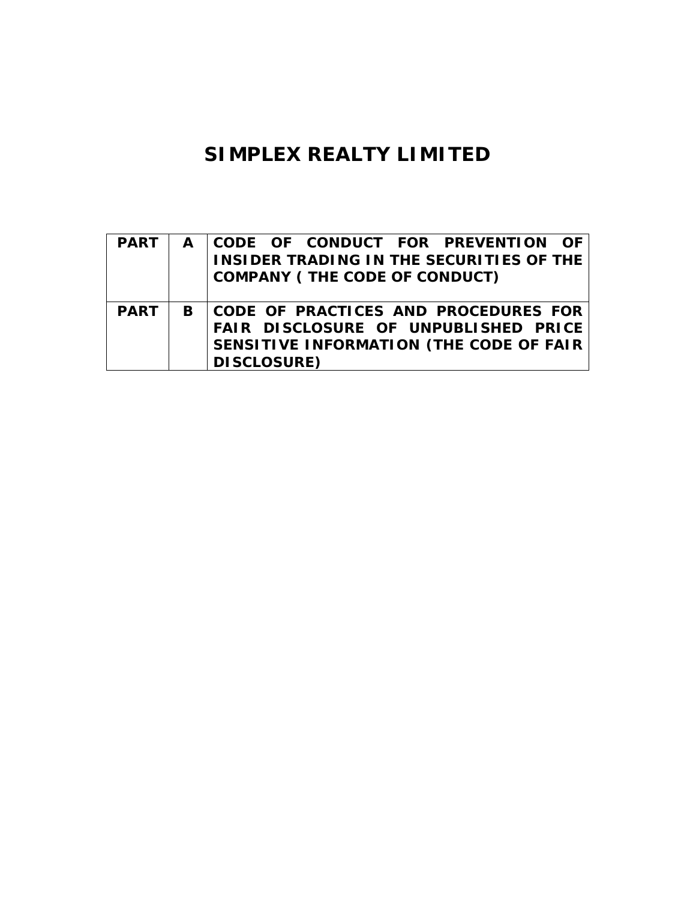# **SIMPLEX REALTY LIMITED**

| <b>PART</b> | A CODE OF CONDUCT FOR PREVENTION OF<br><b>INSIDER TRADING IN THE SECURITIES OF THE</b><br><b>COMPANY (THE CODE OF CONDUCT)</b>                    |
|-------------|---------------------------------------------------------------------------------------------------------------------------------------------------|
| <b>PART</b> | B   CODE OF PRACTICES AND PROCEDURES FOR<br>FAIR DISCLOSURE OF UNPUBLISHED PRICE<br>SENSITIVE INFORMATION (THE CODE OF FAIR<br><b>DISCLOSURE)</b> |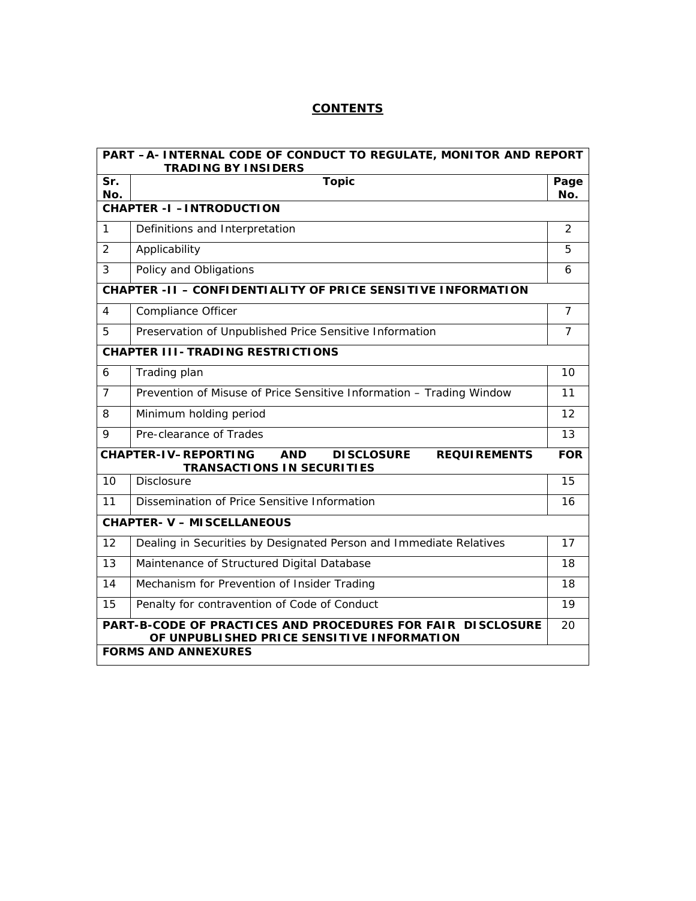## **CONTENTS**

|                                 | PART -A- INTERNAL CODE OF CONDUCT TO REGULATE, MONITOR AND REPORT<br><b>TRADING BY INSIDERS</b>                            |                |  |  |  |  |
|---------------------------------|----------------------------------------------------------------------------------------------------------------------------|----------------|--|--|--|--|
| Sr.<br>No.                      | <b>Topic</b>                                                                                                               | Page<br>No.    |  |  |  |  |
| <b>CHAPTER -I -INTRODUCTION</b> |                                                                                                                            |                |  |  |  |  |
| $\mathbf{1}$                    | Definitions and Interpretation                                                                                             | 2              |  |  |  |  |
| $\overline{2}$                  | Applicability                                                                                                              |                |  |  |  |  |
| 3                               | Policy and Obligations                                                                                                     |                |  |  |  |  |
|                                 | <b>CHAPTER -II - CONFIDENTIALITY OF PRICE SENSITIVE INFORMATION</b>                                                        |                |  |  |  |  |
| 4                               | Compliance Officer                                                                                                         | $\overline{7}$ |  |  |  |  |
| 5                               | Preservation of Unpublished Price Sensitive Information                                                                    | $\overline{7}$ |  |  |  |  |
|                                 | <b>CHAPTER III- TRADING RESTRICTIONS</b>                                                                                   |                |  |  |  |  |
| 6                               | Trading plan                                                                                                               | 10             |  |  |  |  |
| $\overline{7}$                  | Prevention of Misuse of Price Sensitive Information - Trading Window                                                       |                |  |  |  |  |
| 8                               | Minimum holding period                                                                                                     | 12             |  |  |  |  |
| 9                               | Pre-clearance of Trades                                                                                                    | 13             |  |  |  |  |
|                                 | <b>CHAPTER-IV-REPORTING</b><br><b>AND</b><br><b>DISCLOSURE</b><br><b>REQUIREMENTS</b><br><b>TRANSACTIONS IN SECURITIES</b> | <b>FOR</b>     |  |  |  |  |
| 10                              | <b>Disclosure</b>                                                                                                          | 15             |  |  |  |  |
| 11                              | Dissemination of Price Sensitive Information                                                                               | 16             |  |  |  |  |
|                                 | <b>CHAPTER- V - MISCELLANEOUS</b>                                                                                          |                |  |  |  |  |
| 12                              | Dealing in Securities by Designated Person and Immediate Relatives                                                         | 17             |  |  |  |  |
| 13                              | Maintenance of Structured Digital Database                                                                                 | 18             |  |  |  |  |
| 14                              | Mechanism for Prevention of Insider Trading                                                                                |                |  |  |  |  |
| 15                              | Penalty for contravention of Code of Conduct                                                                               | 19             |  |  |  |  |
|                                 | PART-B-CODE OF PRACTICES AND PROCEDURES FOR FAIR DISCLOSURE<br>OF UNPUBLISHED PRICE SENSITIVE INFORMATION                  | 20             |  |  |  |  |
|                                 | <b>FORMS AND ANNEXURES</b>                                                                                                 |                |  |  |  |  |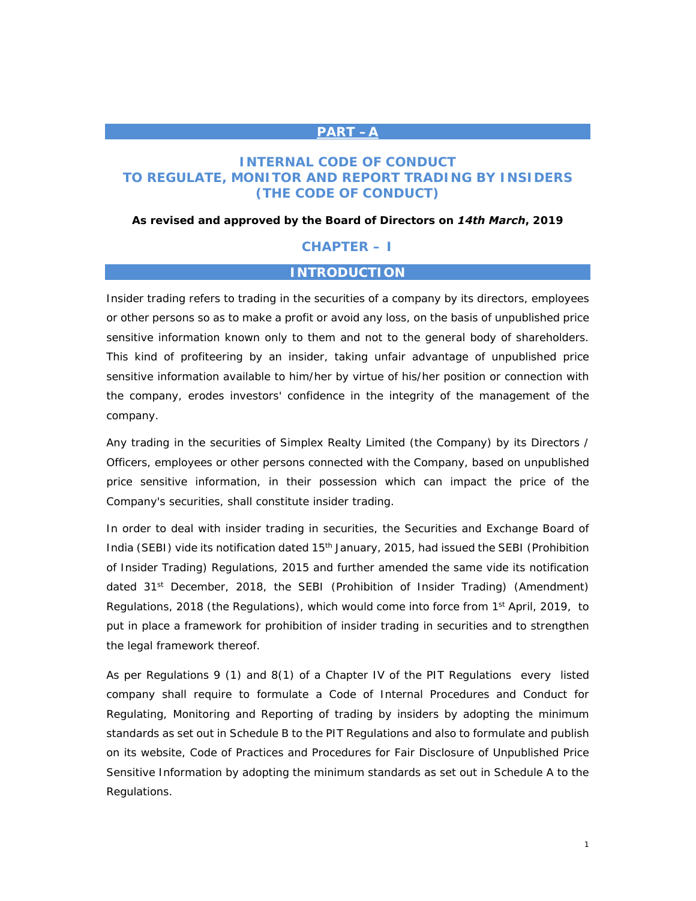#### **PART –A**

## **INTERNAL CODE OF CONDUCT TO REGULATE, MONITOR AND REPORT TRADING BY INSIDERS (THE CODE OF CONDUCT)**

#### *As revised and approved by the Board of Directors on 14th March, 2019*

## **CHAPTER – I**

## **INTRODUCTION**

Insider trading refers to trading in the securities of a company by its directors, employees or other persons so as to make a profit or avoid any loss, on the basis of unpublished price sensitive information known only to them and not to the general body of shareholders. This kind of profiteering by an insider, taking unfair advantage of unpublished price sensitive information available to him/her by virtue of his/her position or connection with the company, erodes investors' confidence in the integrity of the management of the company.

Any trading in the securities of Simplex Realty Limited (the Company) by its Directors / Officers, employees or other persons connected with the Company, based on unpublished price sensitive information, in their possession which can impact the price of the Company's securities, shall constitute insider trading.

In order to deal with insider trading in securities, the Securities and Exchange Board of India (SEBI) vide its notification dated  $15<sup>th</sup>$  January, 2015, had issued the SEBI (Prohibition of Insider Trading) Regulations, 2015 and further amended the same vide its notification dated 31st December, 2018, the SEBI (Prohibition of Insider Trading) (Amendment) Regulations, 2018 (the Regulations), which would come into force from  $1<sup>st</sup>$  April, 2019, to put in place a framework for prohibition of insider trading in securities and to strengthen the legal framework thereof.

As per Regulations 9 (1) and 8(1) of a Chapter IV of the PIT Regulations every listed company shall require to formulate a Code of Internal Procedures and Conduct for Regulating, Monitoring and Reporting of trading by insiders by adopting the minimum standards as set out in Schedule B to the PIT Regulations and also to formulate and publish on its website, Code of Practices and Procedures for Fair Disclosure of Unpublished Price Sensitive Information by adopting the minimum standards as set out in Schedule A to the Regulations.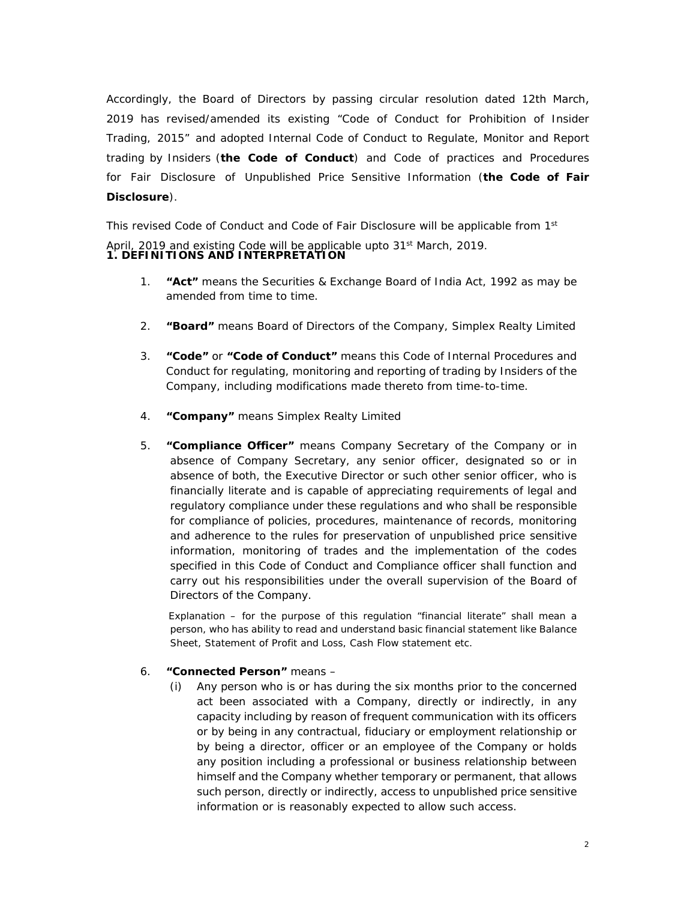Accordingly, the Board of Directors by passing circular resolution dated 12th March, 2019 has revised/amended its existing "Code of Conduct for Prohibition of Insider Trading, 2015" and adopted Internal Code of Conduct to Regulate, Monitor and Report trading by Insiders (**the Code of Conduct**) and Code of practices and Procedures for Fair Disclosure of Unpublished Price Sensitive Information (**the Code of Fair Disclosure**).

This revised Code of Conduct and Code of Fair Disclosure will be applicable from 1st April, 2019 and existing Code will be applicable upto 31<sup>st</sup> March, 2019. **1. DEFINITIONS AND INTERPRETATION**

- 1. **"Act"** means the Securities & Exchange Board of India Act, 1992 as may be amended from time to time.
- 2. **"Board"** means Board of Directors of the Company, Simplex Realty Limited
- 3. **"Code"** or **"Code of Conduct"** means this Code of Internal Procedures and Conduct for regulating, monitoring and reporting of trading by Insiders of the Company, including modifications made thereto from time-to-time.
- 4. **"Company"** means Simplex Realty Limited
- 5. **"Compliance Officer"** means Company Secretary of the Company or in absence of Company Secretary, any senior officer, designated so or in absence of both, the Executive Director or such other senior officer, who is financially literate and is capable of appreciating requirements of legal and regulatory compliance under these regulations and who shall be responsible for compliance of policies, procedures, maintenance of records, monitoring and adherence to the rules for preservation of unpublished price sensitive information, monitoring of trades and the implementation of the codes specified in this Code of Conduct and Compliance officer shall function and carry out his responsibilities under the overall supervision of the Board of Directors of the Company.

*Explanation – for the purpose of this regulation "financial literate" shall mean a person, who has ability to read and understand basic financial statement like Balance Sheet, Statement of Profit and Loss, Cash Flow statement etc.*

#### 6. **"Connected Person"** means –

(i) Any person who is or has during the six months prior to the concerned act been associated with a Company, directly or indirectly, in any capacity including by reason of frequent communication with its officers or by being in any contractual, fiduciary or employment relationship or by being a director, officer or an employee of the Company or holds any position including a professional or business relationship between himself and the Company whether temporary or permanent, that allows such person, directly or indirectly, access to unpublished price sensitive information or is reasonably expected to allow such access.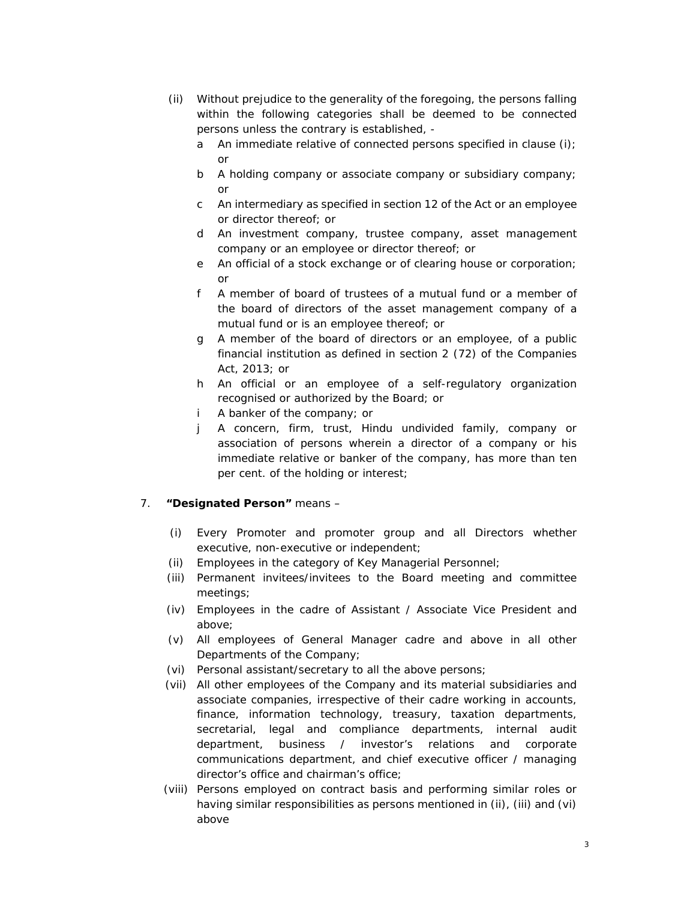- (ii) Without prejudice to the generality of the foregoing, the persons falling within the following categories shall be deemed to be connected persons unless the contrary is established,
	- a An immediate relative of connected persons specified in clause (i); or
	- b A holding company or associate company or subsidiary company; or
	- c An intermediary as specified in section 12 of the Act or an employee or director thereof; or
	- d An investment company, trustee company, asset management company or an employee or director thereof; or
	- e An official of a stock exchange or of clearing house or corporation; or
	- f A member of board of trustees of a mutual fund or a member of the board of directors of the asset management company of a mutual fund or is an employee thereof; or
	- g A member of the board of directors or an employee, of a public financial institution as defined in section 2 (72) of the Companies Act, 2013; or
	- h An official or an employee of a self-regulatory organization recognised or authorized by the Board; or
	- i A banker of the company; or
	- j A concern, firm, trust, Hindu undivided family, company or association of persons wherein a director of a company or his immediate relative or banker of the company, has more than ten per cent. of the holding or interest;

## 7. **"Designated Person"** means –

- (i) Every Promoter and promoter group and all Directors whether executive, non-executive or independent;
- (ii) Employees in the category of Key Managerial Personnel;
- (iii) Permanent invitees/invitees to the Board meeting and committee meetings;
- (iv) Employees in the cadre of Assistant / Associate Vice President and above;
- (v) All employees of General Manager cadre and above in all other Departments of the Company;
- (vi) Personal assistant/secretary to all the above persons;
- (vii) All other employees of the Company and its material subsidiaries and associate companies, irrespective of their cadre working in accounts, finance, information technology, treasury, taxation departments, secretarial, legal and compliance departments, internal audit department, business / investor's relations and corporate communications department, and chief executive officer / managing director's office and chairman's office;
- (viii) Persons employed on contract basis and performing similar roles or having similar responsibilities as persons mentioned in (ii), (iii) and (vi) above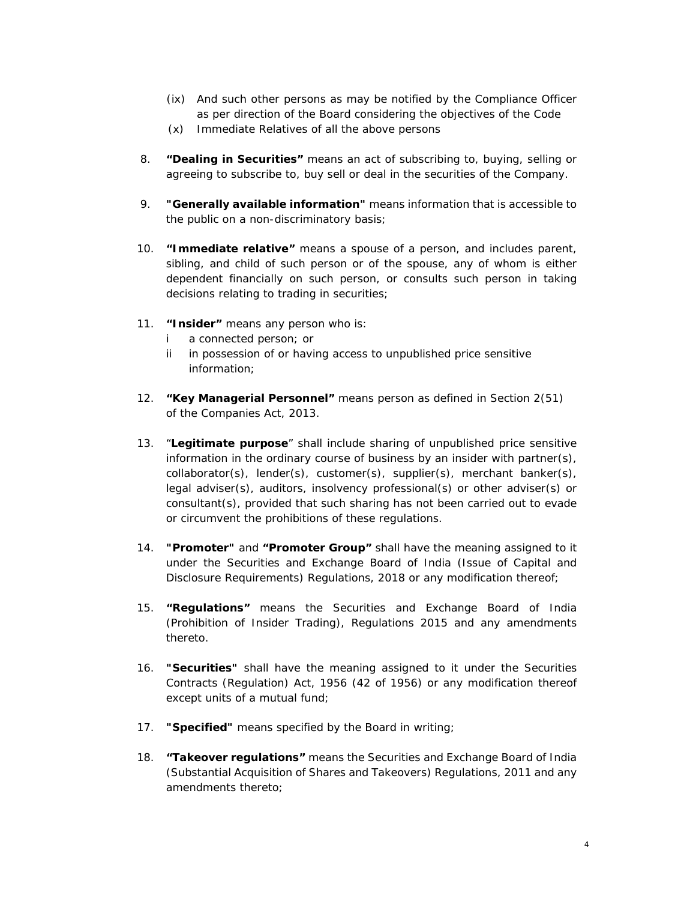- (ix) And such other persons as may be notified by the Compliance Officer as per direction of the Board considering the objectives of the Code
- (x) Immediate Relatives of all the above persons
- 8. **"Dealing in Securities"** means an act of subscribing to, buying, selling or agreeing to subscribe to, buy sell or deal in the securities of the Company.
- 9. **"Generally available information"** means information that is accessible to the public on a non-discriminatory basis;
- 10. **"Immediate relative"** means a spouse of a person, and includes parent, sibling, and child of such person or of the spouse, any of whom is either dependent financially on such person, or consults such person in taking decisions relating to trading in securities;
- 11. **"Insider"** means any person who is:
	- i a connected person; or
	- ii in possession of or having access to unpublished price sensitive information;
- 12. **"Key Managerial Personnel"** means person as defined in Section 2(51) of the Companies Act, 2013.
- 13. "**Legitimate purpose**" shall include sharing of unpublished price sensitive information in the ordinary course of business by an insider with partner(s), collaborator(s), lender(s), customer(s), supplier(s), merchant banker(s), legal adviser(s), auditors, insolvency professional(s) or other adviser(s) or consultant(s), provided that such sharing has not been carried out to evade or circumvent the prohibitions of these regulations.
- 14. **"Promoter"** and **"Promoter Group"** shall have the meaning assigned to it under the Securities and Exchange Board of India (Issue of Capital and Disclosure Requirements) Regulations, 2018 or any modification thereof;
- 15. **"Regulations"** means the Securities and Exchange Board of India (Prohibition of Insider Trading), Regulations 2015 and any amendments thereto.
- 16. **"Securities"** shall have the meaning assigned to it under the Securities Contracts (Regulation) Act, 1956 (42 of 1956) or any modification thereof except units of a mutual fund;
- 17. **"Specified"** means specified by the Board in writing;
- 18. **"Takeover regulations"** means the Securities and Exchange Board of India (Substantial Acquisition of Shares and Takeovers) Regulations, 2011 and any amendments thereto;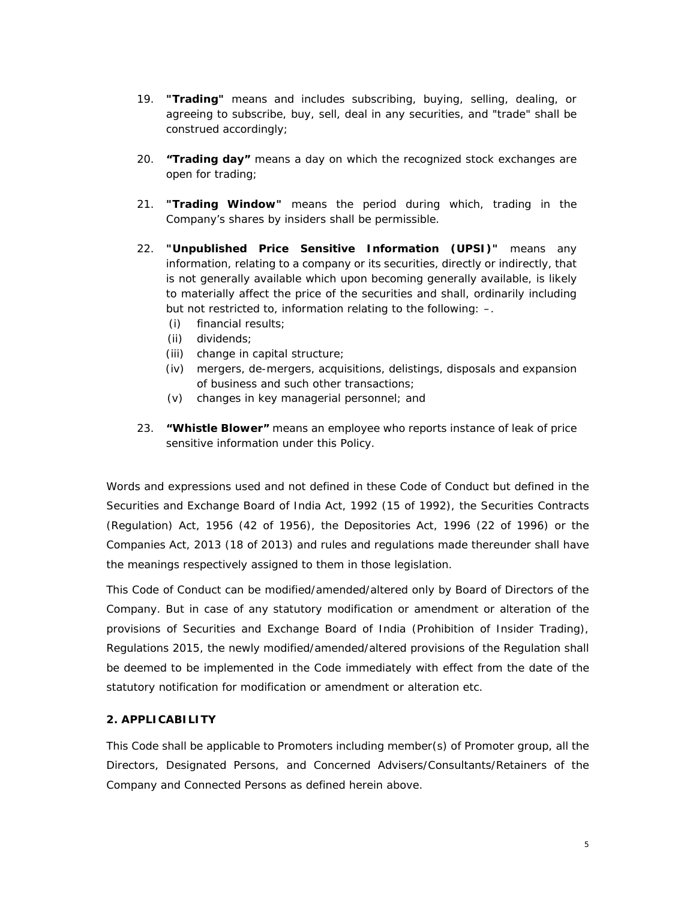- 19. **"Trading"** means and includes subscribing, buying, selling, dealing, or agreeing to subscribe, buy, sell, deal in any securities, and "trade" shall be construed accordingly;
- 20. **"Trading day"** means a day on which the recognized stock exchanges are open for trading;
- 21. **"Trading Window"** means the period during which, trading in the Company's shares by insiders shall be permissible.
- 22. **"Unpublished Price Sensitive Information (UPSI)"** means any information, relating to a company or its securities, directly or indirectly, that is not generally available which upon becoming generally available, is likely to materially affect the price of the securities and shall, ordinarily including but not restricted to, information relating to the following: –.
	- (i) financial results;
	- (ii) dividends;
	- (iii) change in capital structure;
	- (iv) mergers, de-mergers, acquisitions, delistings, disposals and expansion of business and such other transactions;
	- (v) changes in key managerial personnel; and
- 23. **"Whistle Blower"** means an employee who reports instance of leak of price sensitive information under this Policy.

Words and expressions used and not defined in these Code of Conduct but defined in the Securities and Exchange Board of India Act, 1992 (15 of 1992), the Securities Contracts (Regulation) Act, 1956 (42 of 1956), the Depositories Act, 1996 (22 of 1996) or the Companies Act, 2013 (18 of 2013) and rules and regulations made thereunder shall have the meanings respectively assigned to them in those legislation.

This Code of Conduct can be modified/amended/altered only by Board of Directors of the Company. But in case of any statutory modification or amendment or alteration of the provisions of Securities and Exchange Board of India (Prohibition of Insider Trading), Regulations 2015, the newly modified/amended/altered provisions of the Regulation shall be deemed to be implemented in the Code immediately with effect from the date of the statutory notification for modification or amendment or alteration etc.

## **2. APPLICABILITY**

This Code shall be applicable to Promoters including member(s) of Promoter group, all the Directors, Designated Persons, and Concerned Advisers/Consultants/Retainers of the Company and Connected Persons as defined herein above.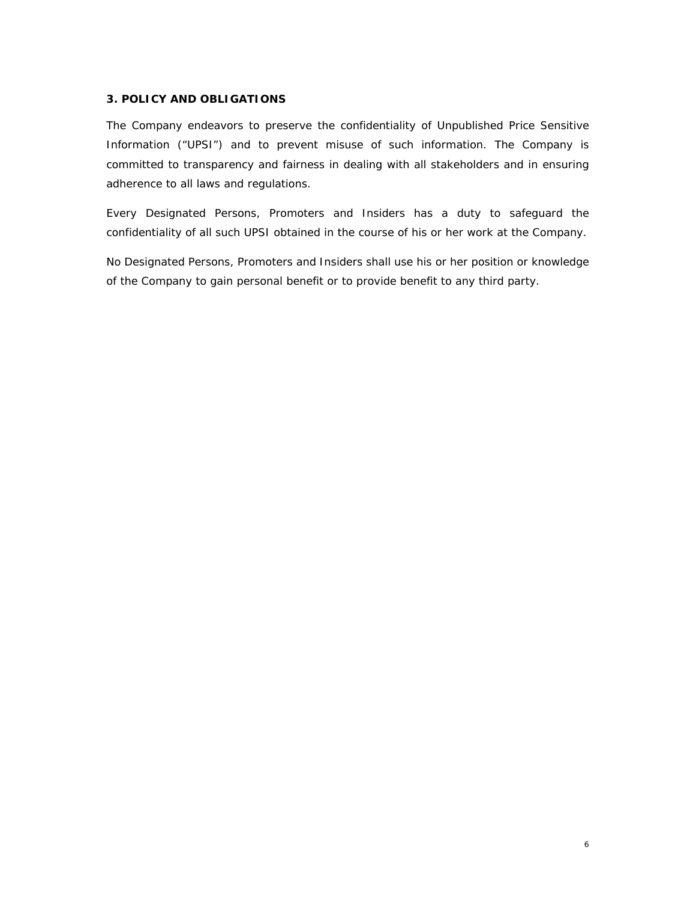### **3. POLICY AND OBLIGATIONS**

The Company endeavors to preserve the confidentiality of Unpublished Price Sensitive Information ("UPSI") and to prevent misuse of such information. The Company is committed to transparency and fairness in dealing with all stakeholders and in ensuring adherence to all laws and regulations.

Every Designated Persons, Promoters and Insiders has a duty to safeguard the confidentiality of all such UPSI obtained in the course of his or her work at the Company.

No Designated Persons, Promoters and Insiders shall use his or her position or knowledge of the Company to gain personal benefit or to provide benefit to any third party.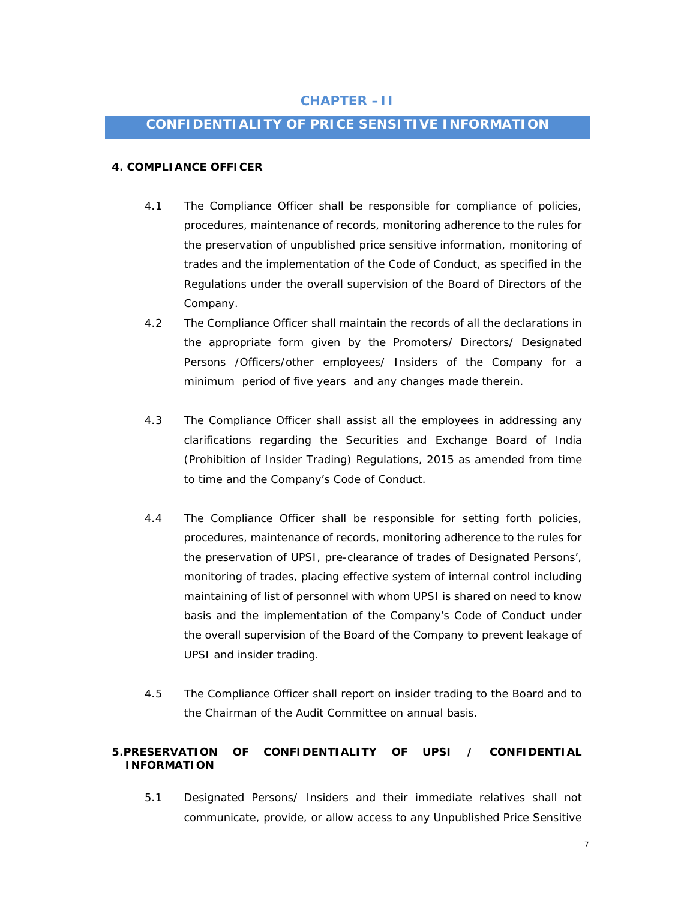## **CHAPTER –II**

## **CONFIDENTIALITY OF PRICE SENSITIVE INFORMATION**

#### **4. COMPLIANCE OFFICER**

- 4.1 The Compliance Officer shall be responsible for compliance of policies, procedures, maintenance of records, monitoring adherence to the rules for the preservation of unpublished price sensitive information, monitoring of trades and the implementation of the Code of Conduct, as specified in the Regulations under the overall supervision of the Board of Directors of the Company.
- 4.2 The Compliance Officer shall maintain the records of all the declarations in the appropriate form given by the Promoters/ Directors/ Designated Persons /Officers/other employees/ Insiders of the Company for a minimum period of five years and any changes made therein.
- 4.3 The Compliance Officer shall assist all the employees in addressing any clarifications regarding the Securities and Exchange Board of India (Prohibition of Insider Trading) Regulations, 2015 as amended from time to time and the Company's Code of Conduct.
- 4.4 The Compliance Officer shall be responsible for setting forth policies, procedures, maintenance of records, monitoring adherence to the rules for the preservation of UPSI, pre-clearance of trades of Designated Persons', monitoring of trades, placing effective system of internal control including maintaining of list of personnel with whom UPSI is shared on need to know basis and the implementation of the Company's Code of Conduct under the overall supervision of the Board of the Company to prevent leakage of UPSI and insider trading.
- 4.5 The Compliance Officer shall report on insider trading to the Board and to the Chairman of the Audit Committee on annual basis.

## **5.PRESERVATION OF CONFIDENTIALITY OF UPSI / CONFIDENTIAL INFORMATION**

5.1 Designated Persons/ Insiders and their immediate relatives shall not communicate, provide, or allow access to any Unpublished Price Sensitive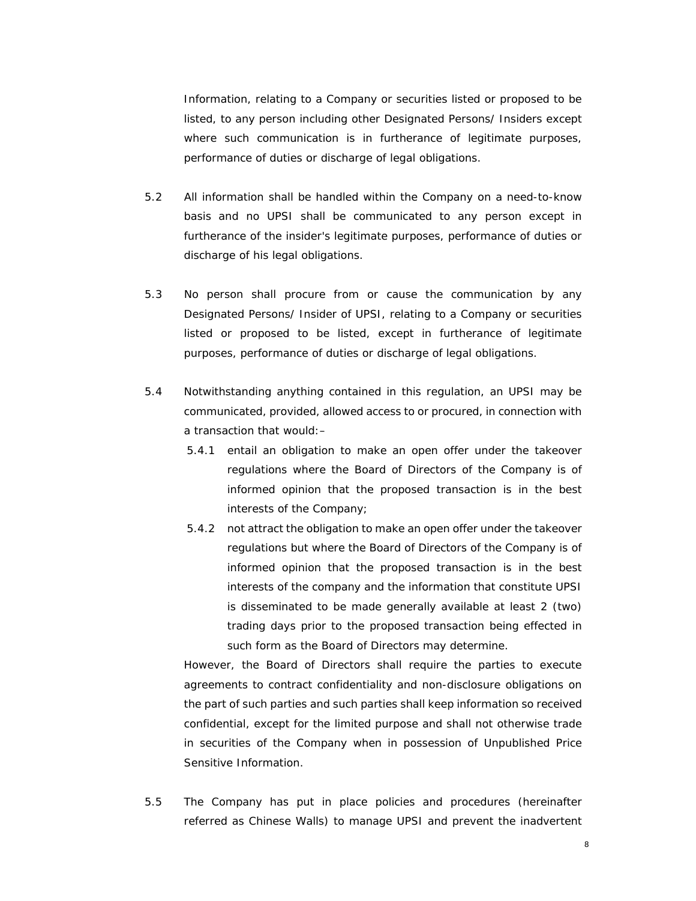Information, relating to a Company or securities listed or proposed to be listed, to any person including other Designated Persons/ Insiders except where such communication is in furtherance of legitimate purposes, performance of duties or discharge of legal obligations.

- 5.2 All information shall be handled within the Company on a need-to-know basis and no UPSI shall be communicated to any person except in furtherance of the insider's legitimate purposes, performance of duties or discharge of his legal obligations.
- 5.3 No person shall procure from or cause the communication by any Designated Persons/ Insider of UPSI, relating to a Company or securities listed or proposed to be listed, except in furtherance of legitimate purposes, performance of duties or discharge of legal obligations.
- 5.4 Notwithstanding anything contained in this regulation, an UPSI may be communicated, provided, allowed access to or procured, in connection with a transaction that would:–
	- 5.4.1 entail an obligation to make an open offer under the takeover regulations where the Board of Directors of the Company is of informed opinion that the proposed transaction is in the best interests of the Company;
	- 5.4.2 not attract the obligation to make an open offer under the takeover regulations but where the Board of Directors of the Company is of informed opinion that the proposed transaction is in the best interests of the company and the information that constitute UPSI is disseminated to be made generally available at least 2 (two) trading days prior to the proposed transaction being effected in such form as the Board of Directors may determine.

However, the Board of Directors shall require the parties to execute agreements to contract confidentiality and non-disclosure obligations on the part of such parties and such parties shall keep information so received confidential, except for the limited purpose and shall not otherwise trade in securities of the Company when in possession of Unpublished Price Sensitive Information.

5.5 The Company has put in place policies and procedures (hereinafter referred as Chinese Walls) to manage UPSI and prevent the inadvertent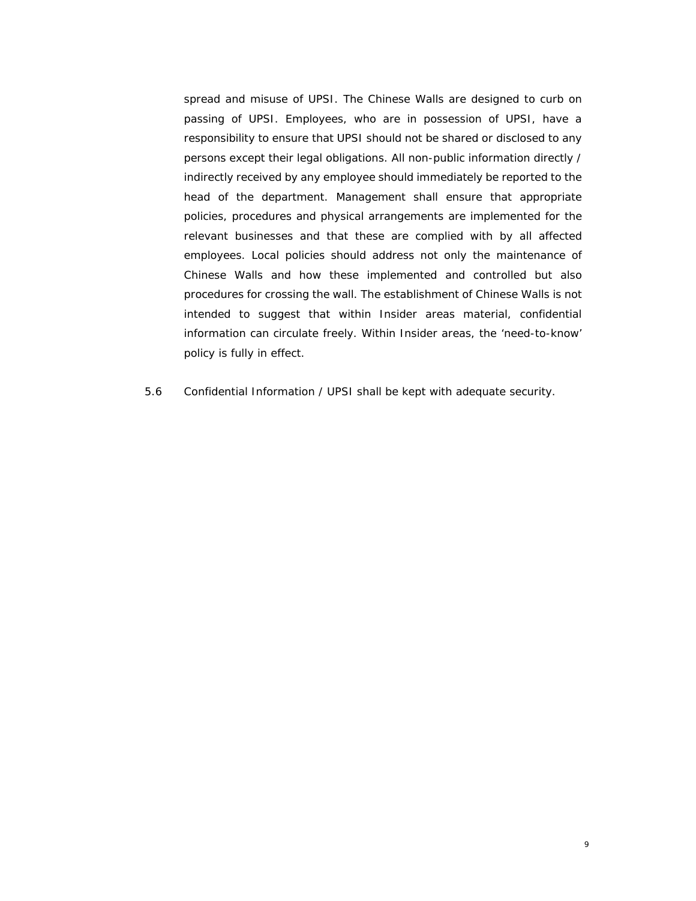spread and misuse of UPSI. The Chinese Walls are designed to curb on passing of UPSI. Employees, who are in possession of UPSI, have a responsibility to ensure that UPSI should not be shared or disclosed to any persons except their legal obligations. All non-public information directly / indirectly received by any employee should immediately be reported to the head of the department. Management shall ensure that appropriate policies, procedures and physical arrangements are implemented for the relevant businesses and that these are complied with by all affected employees. Local policies should address not only the maintenance of Chinese Walls and how these implemented and controlled but also procedures for crossing the wall. The establishment of Chinese Walls is not intended to suggest that within Insider areas material, confidential information can circulate freely. Within Insider areas, the 'need-to-know' policy is fully in effect.

5.6 Confidential Information / UPSI shall be kept with adequate security.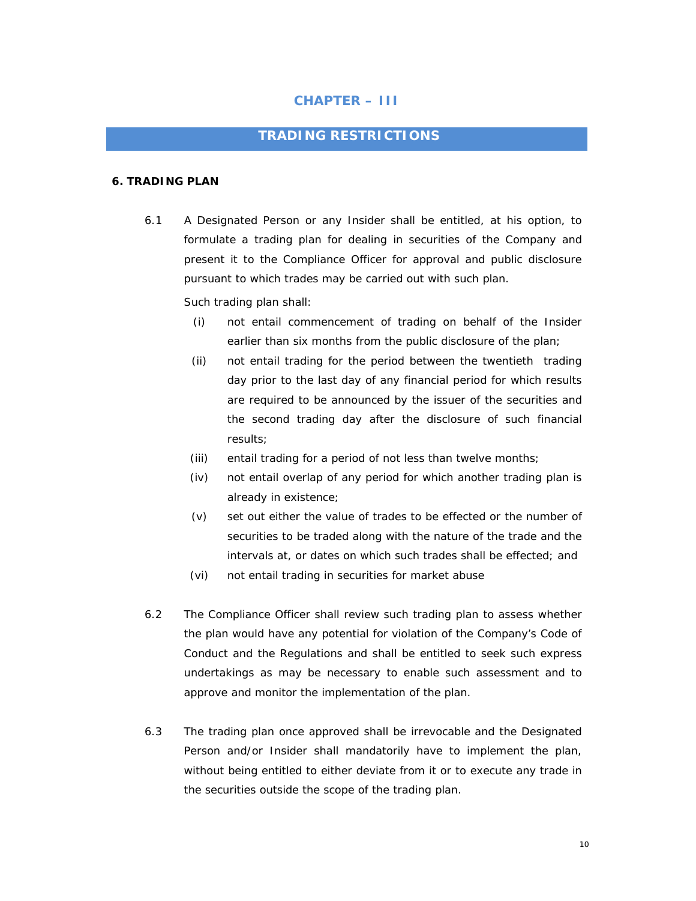## **CHAPTER – III**

## **TRADING RESTRICTIONS**

#### **6. TRADING PLAN**

6.1 A Designated Person or any Insider shall be entitled, at his option, to formulate a trading plan for dealing in securities of the Company and present it to the Compliance Officer for approval and public disclosure pursuant to which trades may be carried out with such plan.

Such trading plan shall:

- (i) not entail commencement of trading on behalf of the Insider earlier than six months from the public disclosure of the plan;
- (ii) not entail trading for the period between the twentieth trading day prior to the last day of any financial period for which results are required to be announced by the issuer of the securities and the second trading day after the disclosure of such financial results;
- (iii) entail trading for a period of not less than twelve months;
- (iv) not entail overlap of any period for which another trading plan is already in existence;
- (v) set out either the value of trades to be effected or the number of securities to be traded along with the nature of the trade and the intervals at, or dates on which such trades shall be effected; and
- (vi) not entail trading in securities for market abuse
- 6.2 The Compliance Officer shall review such trading plan to assess whether the plan would have any potential for violation of the Company's Code of Conduct and the Regulations and shall be entitled to seek such express undertakings as may be necessary to enable such assessment and to approve and monitor the implementation of the plan.
- 6.3 The trading plan once approved shall be irrevocable and the Designated Person and/or Insider shall mandatorily have to implement the plan, without being entitled to either deviate from it or to execute any trade in the securities outside the scope of the trading plan.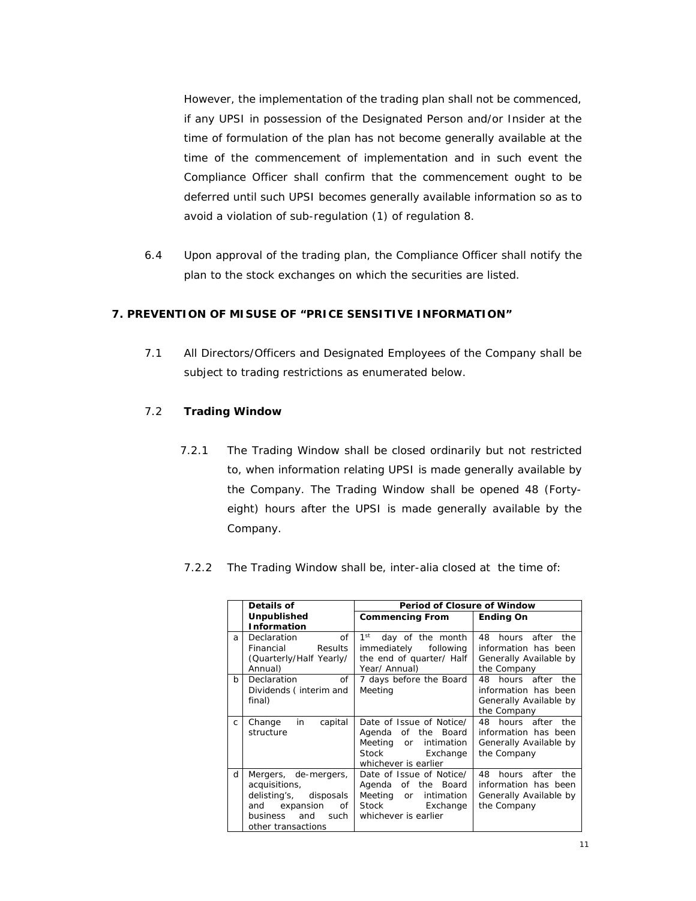However, the implementation of the trading plan shall not be commenced, if any UPSI in possession of the Designated Person and/or Insider at the time of formulation of the plan has not become generally available at the time of the commencement of implementation and in such event the Compliance Officer shall confirm that the commencement ought to be deferred until such UPSI becomes generally available information so as to avoid a violation of sub-regulation (1) of regulation 8.

6.4 Upon approval of the trading plan, the Compliance Officer shall notify the plan to the stock exchanges on which the securities are listed.

### **7. PREVENTION OF MISUSE OF "PRICE SENSITIVE INFORMATION"**

7.1 All Directors/Officers and Designated Employees of the Company shall be subject to trading restrictions as enumerated below.

#### 7.2 **Trading Window**

- 7.2.1 The Trading Window shall be closed ordinarily but not restricted to, when information relating UPSI is made generally available by the Company. The Trading Window shall be opened 48 (Fortyeight) hours after the UPSI is made generally available by the Company.
- 7.2.2 The Trading Window shall be, *inter-alia* closed at the time of:

|    | Details of                                                                                                                           | Period of Closure of Window                                                                                                     |                                                                                            |  |
|----|--------------------------------------------------------------------------------------------------------------------------------------|---------------------------------------------------------------------------------------------------------------------------------|--------------------------------------------------------------------------------------------|--|
|    | Unpublished                                                                                                                          | <b>Commencing From</b>                                                                                                          | <b>Ending On</b>                                                                           |  |
|    | <b>Information</b>                                                                                                                   |                                                                                                                                 |                                                                                            |  |
| a  | $\sigma$ f<br><b>Declaration</b><br>Financial<br><b>Results</b><br>(Quarterly/Half Yearly/                                           | $1^{\rm st}$<br>day of the month<br>immediately<br>following<br>the end of quarter/ Half                                        | 48<br>hours after the<br>information has been<br>Generally Available by                    |  |
|    | Annual)                                                                                                                              | Year/ Annual)                                                                                                                   | the Company                                                                                |  |
| b  | $\sigma$ f<br>Declaration<br>Dividends (interim and<br>final)                                                                        | 7 days before the Board<br>Meeting                                                                                              | 48 hours after the<br>information has been<br>Generally Available by<br>the Company        |  |
| C. | in<br>capital<br>Change<br>structure                                                                                                 | Date of Issue of Notice/<br>Agenda of the Board<br>Meeting or<br>intimation<br><b>Stock</b><br>Exchange<br>whichever is earlier | 48 hours after the<br>information has been<br>Generally Available by<br>the Company        |  |
| d  | Mergers, de-mergers,<br>acquisitions,<br>delisting's, disposals<br>and expansion<br>of<br>business and<br>such<br>other transactions | Date of Issue of Notice/<br>Agenda of the Board<br>Meeting or<br>intimation<br>Stock Exchange<br>whichever is earlier           | hours after<br>48.<br>the<br>information has been<br>Generally Available by<br>the Company |  |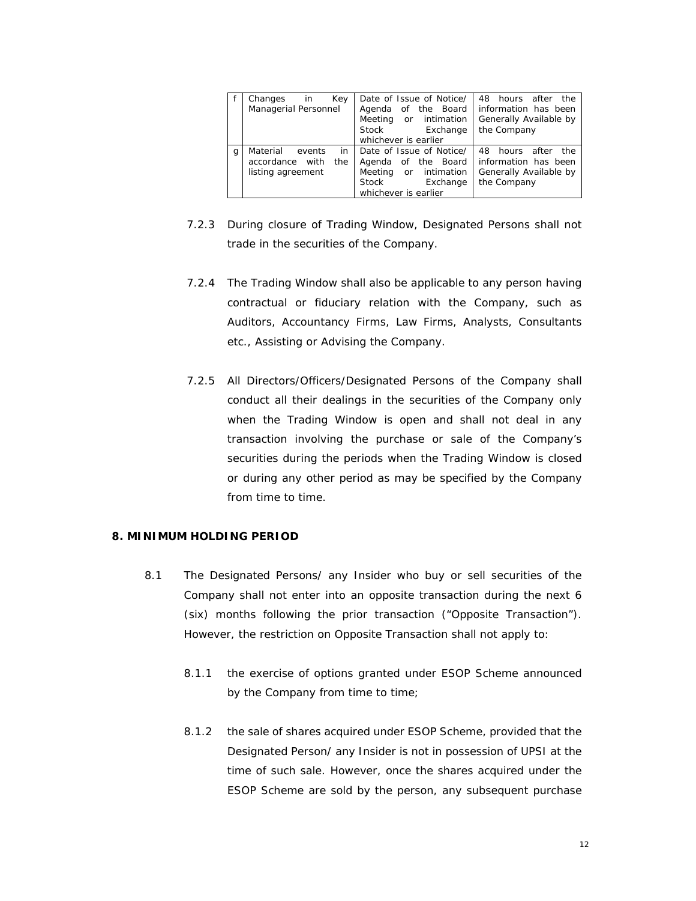|   | Key<br>Changes<br>in.<br>Managerial Personnel                           | Date of Issue of Notice/<br>Agenda of the Board<br>Meeting or intimation<br>Stock Exchange<br>whichever is earlier    | 48 hours after the<br>information has been<br>Generally Available by<br>the Company |
|---|-------------------------------------------------------------------------|-----------------------------------------------------------------------------------------------------------------------|-------------------------------------------------------------------------------------|
| g | in<br>Material<br>events<br>accordance with<br>the<br>listing agreement | Date of Issue of Notice/<br>Agenda of the Board<br>Meeting or intimation<br>Stock<br>Exchange<br>whichever is earlier | 48 hours after the<br>information has been<br>Generally Available by<br>the Company |

- 7.2.3 During closure of Trading Window, Designated Persons shall not trade in the securities of the Company.
- 7.2.4 The Trading Window shall also be applicable to any person having contractual or fiduciary relation with the Company, such as Auditors, Accountancy Firms, Law Firms, Analysts, Consultants etc., Assisting or Advising the Company.
- 7.2.5 All Directors/Officers/Designated Persons of the Company shall conduct all their dealings in the securities of the Company only when the Trading Window is open and shall not deal in any transaction involving the purchase or sale of the Company's securities during the periods when the Trading Window is closed or during any other period as may be specified by the Company from time to time.

#### **8. MINIMUM HOLDING PERIOD**

- 8.1 The Designated Persons/ any Insider who buy or sell securities of the Company shall not enter into an opposite transaction during the next 6 (six) months following the prior transaction ("Opposite Transaction"). However, the restriction on Opposite Transaction shall not apply to:
	- 8.1.1 the exercise of options granted under ESOP Scheme announced by the Company from time to time;
	- 8.1.2 the sale of shares acquired under ESOP Scheme, provided that the Designated Person/ any Insider is not in possession of UPSI at the time of such sale. However, once the shares acquired under the ESOP Scheme are sold by the person, any subsequent purchase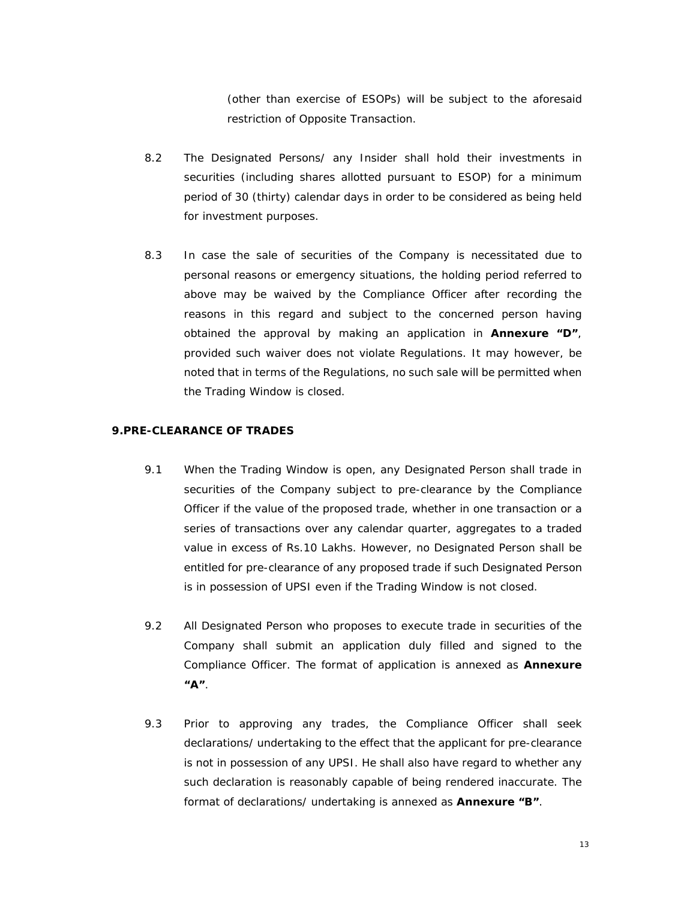(other than exercise of ESOPs) will be subject to the aforesaid restriction of Opposite Transaction.

- 8.2 The Designated Persons/ any Insider shall hold their investments in securities (including shares allotted pursuant to ESOP) for a minimum period of 30 (thirty) calendar days in order to be considered as being held for investment purposes.
- 8.3 In case the sale of securities of the Company is necessitated due to personal reasons or emergency situations, the holding period referred to above may be waived by the Compliance Officer after recording the reasons in this regard and subject to the concerned person having obtained the approval by making an application in **Annexure "D"**, provided such waiver does not violate Regulations. It may however, be noted that in terms of the Regulations, no such sale will be permitted when the Trading Window is closed.

## **9.PRE-CLEARANCE OF TRADES**

- 9.1 When the Trading Window is open, any Designated Person shall trade in securities of the Company subject to pre-clearance by the Compliance Officer if the value of the proposed trade, whether in one transaction or a series of transactions over any calendar quarter, aggregates to a traded value in excess of Rs.10 Lakhs. However, no Designated Person shall be entitled for pre-clearance of any proposed trade if such Designated Person is in possession of UPSI even if the Trading Window is not closed.
- 9.2 All Designated Person who proposes to execute trade in securities of the Company shall submit an application duly filled and signed to the Compliance Officer. The format of application is annexed as **Annexure "A"**.
- 9.3 Prior to approving any trades, the Compliance Officer shall seek declarations/ undertaking to the effect that the applicant for pre-clearance is not in possession of any UPSI. He shall also have regard to whether any such declaration is reasonably capable of being rendered inaccurate. The format of declarations/ undertaking is annexed as **Annexure "B"**.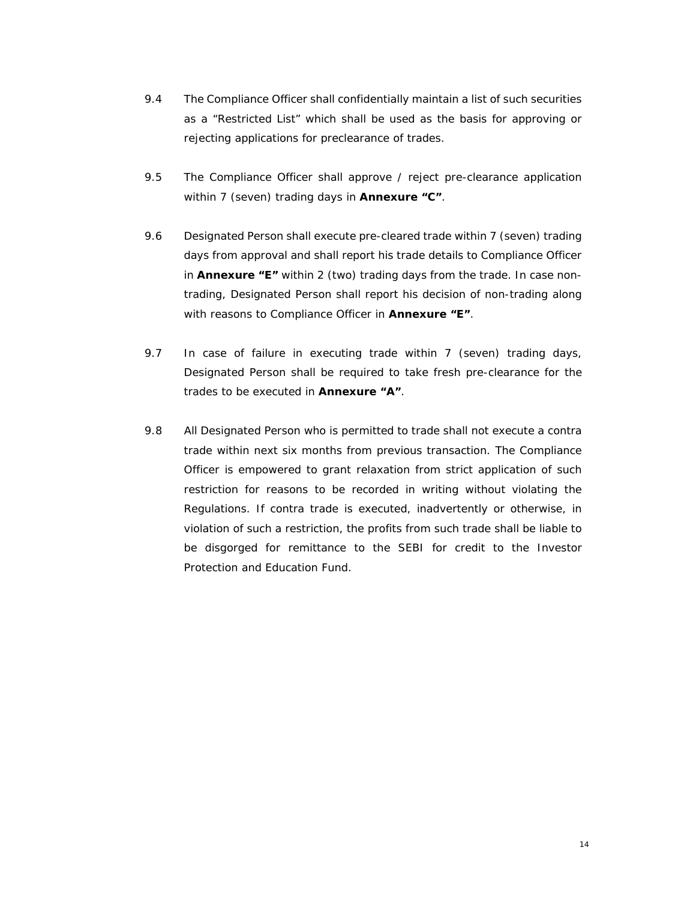- 9.4 The Compliance Officer shall confidentially maintain a list of such securities as a "Restricted List" which shall be used as the basis for approving or rejecting applications for preclearance of trades.
- 9.5 The Compliance Officer shall approve / reject pre-clearance application within 7 (seven) trading days in **Annexure "C"**.
- 9.6 Designated Person shall execute pre-cleared trade within 7 (seven) trading days from approval and shall report his trade details to Compliance Officer in **Annexure "E"** within 2 (two) trading days from the trade. In case nontrading, Designated Person shall report his decision of non-trading along with reasons to Compliance Officer in **Annexure "E"**.
- 9.7 In case of failure in executing trade within 7 (seven) trading days, Designated Person shall be required to take fresh pre-clearance for the trades to be executed in **Annexure "A"**.
- 9.8 All Designated Person who is permitted to trade shall not execute a contra trade within next six months from previous transaction. The Compliance Officer is empowered to grant relaxation from strict application of such restriction for reasons to be recorded in writing without violating the Regulations. If contra trade is executed, inadvertently or otherwise, in violation of such a restriction, the profits from such trade shall be liable to be disgorged for remittance to the SEBI for credit to the Investor Protection and Education Fund.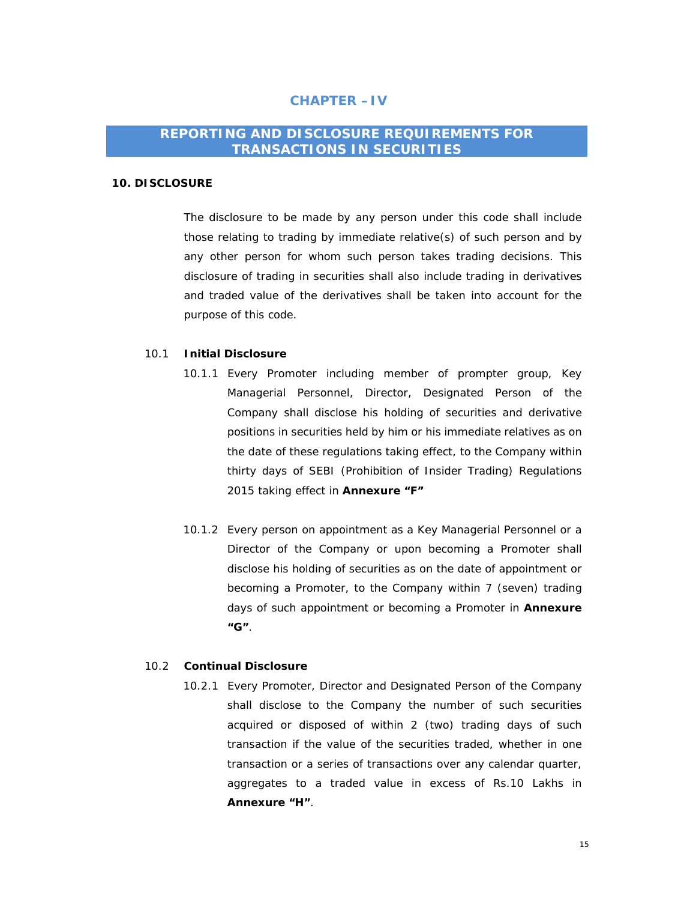## **CHAPTER –IV**

## **REPORTING AND DISCLOSURE REQUIREMENTS FOR TRANSACTIONS IN SECURITIES**

#### **10. DISCLOSURE**

The disclosure to be made by any person under this code shall include those relating to trading by immediate relative(s) of such person and by any other person for whom such person takes trading decisions. This disclosure of trading in securities shall also include trading in derivatives and traded value of the derivatives shall be taken into account for the purpose of this code.

#### 10.1 **Initial Disclosure**

- 10.1.1 Every Promoter including member of prompter group, Key Managerial Personnel, Director, Designated Person of the Company shall disclose his holding of securities and derivative positions in securities held by him or his immediate relatives as on the date of these regulations taking effect, to the Company within thirty days of SEBI (Prohibition of Insider Trading) Regulations 2015 taking effect in **Annexure "F"**
- 10.1.2 Every person on appointment as a Key Managerial Personnel or a Director of the Company or upon becoming a Promoter shall disclose his holding of securities as on the date of appointment or becoming a Promoter, to the Company within 7 (seven) trading days of such appointment or becoming a Promoter in **Annexure "G"**.

#### 10.2 **Continual Disclosure**

10.2.1 Every Promoter, Director and Designated Person of the Company shall disclose to the Company the number of such securities acquired or disposed of within 2 (two) trading days of such transaction if the value of the securities traded, whether in one transaction or a series of transactions over any calendar quarter, aggregates to a traded value in excess of Rs.10 Lakhs in **Annexure "H"**.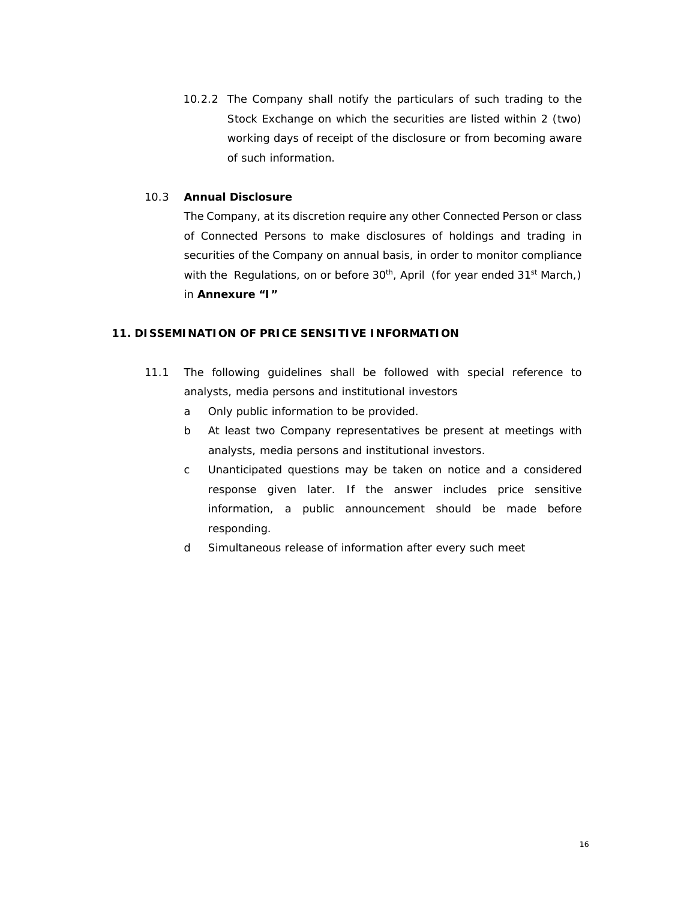10.2.2 The Company shall notify the particulars of such trading to the Stock Exchange on which the securities are listed within 2 (two) working days of receipt of the disclosure or from becoming aware of such information.

### 10.3 **Annual Disclosure**

The Company, at its discretion require any other Connected Person or class of Connected Persons to make disclosures of holdings and trading in securities of the Company on annual basis, in order to monitor compliance with the Regulations, on or before 30<sup>th</sup>, April (for year ended 31<sup>st</sup> March,) in **Annexure "I"** 

#### **11. DISSEMINATION OF PRICE SENSITIVE INFORMATION**

- 11.1 The following guidelines shall be followed with special reference to analysts, media persons and institutional investors
	- a Only public information to be provided.
	- b At least two Company representatives be present at meetings with analysts, media persons and institutional investors.
	- c Unanticipated questions may be taken on notice and a considered response given later. If the answer includes price sensitive information, a public announcement should be made before responding.
	- d Simultaneous release of information after every such meet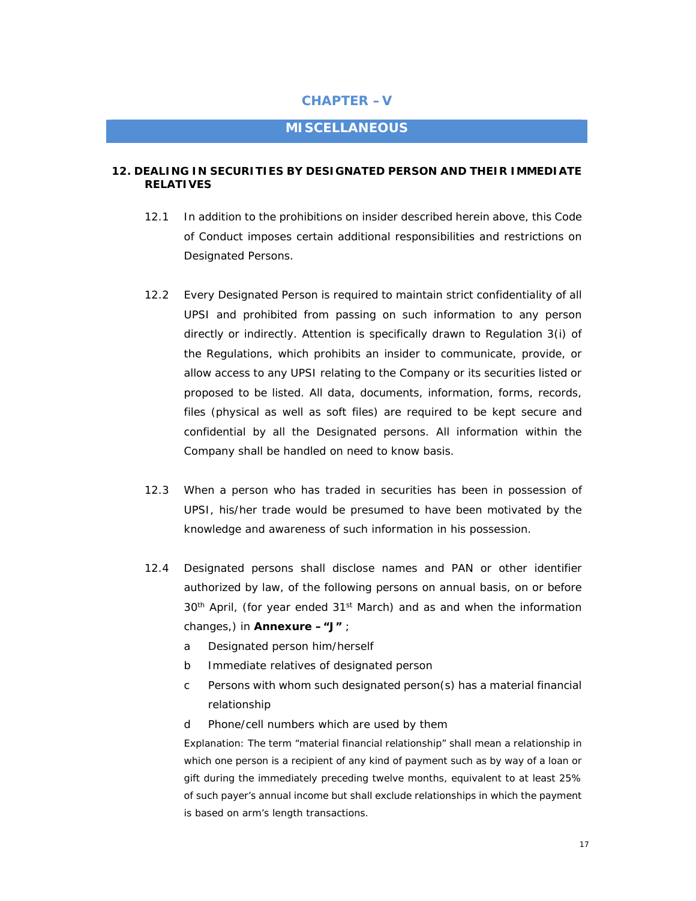## **CHAPTER –V**

## **MISCELLANEOUS**

#### **12. DEALING IN SECURITIES BY DESIGNATED PERSON AND THEIR IMMEDIATE RELATIVES**

- 12.1 In addition to the prohibitions on insider described herein above, this Code of Conduct imposes certain additional responsibilities and restrictions on Designated Persons.
- 12.2 Every Designated Person is required to maintain strict confidentiality of all UPSI and prohibited from passing on such information to any person directly or indirectly. Attention is specifically drawn to Regulation 3(i) of the Regulations, which prohibits an insider to communicate, provide, or allow access to any UPSI relating to the Company or its securities listed or proposed to be listed. All data, documents, information, forms, records, files (physical as well as soft files) are required to be kept secure and confidential by all the Designated persons. All information within the Company shall be handled on need to know basis.
- 12.3 When a person who has traded in securities has been in possession of UPSI, his/her trade would be presumed to have been motivated by the knowledge and awareness of such information in his possession.
- 12.4 Designated persons shall disclose names and PAN or other identifier authorized by law, of the following persons on annual basis, on or before 30<sup>th</sup> April, (for year ended 31<sup>st</sup> March) and as and when the information changes,) in **Annexure –"J"** ;
	- a Designated person him/herself
	- b Immediate relatives of designated person
	- c Persons with whom such designated person(s) has a material financial relationship
	- d Phone/cell numbers which are used by them

*Explanation: The term "material financial relationship" shall mean a relationship in which one person is a recipient of any kind of payment such as by way of a loan or gift during the immediately preceding twelve months, equivalent to at least 25% of such payer's annual income but shall exclude relationships in which the payment is based on arm's length transactions.*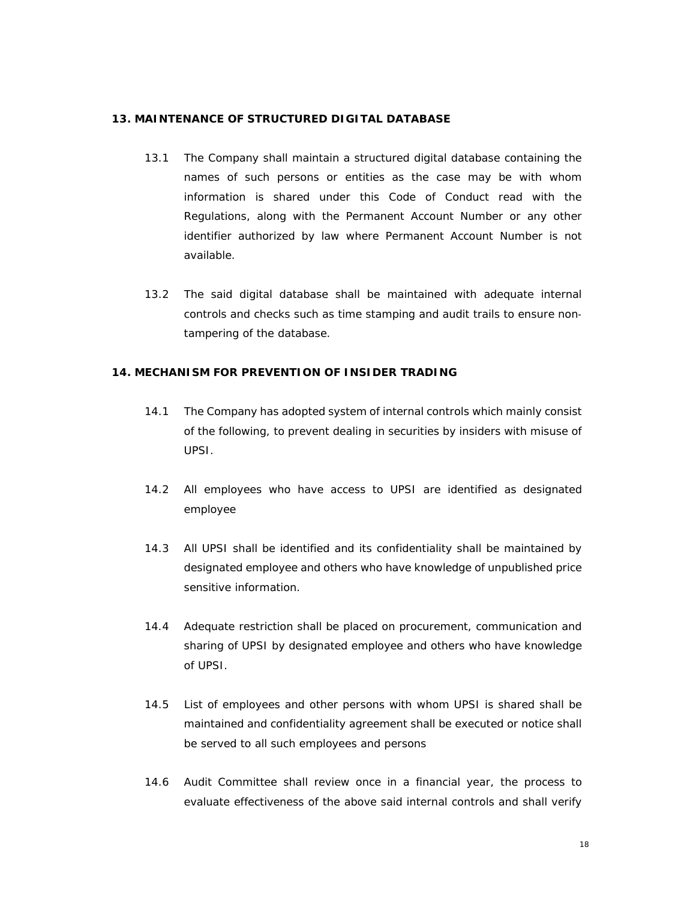#### **13. MAINTENANCE OF STRUCTURED DIGITAL DATABASE**

- 13.1 The Company shall maintain a structured digital database containing the names of such persons or entities as the case may be with whom information is shared under this Code of Conduct read with the Regulations, along with the Permanent Account Number or any other identifier authorized by law where Permanent Account Number is not available.
- 13.2 The said digital database shall be maintained with adequate internal controls and checks such as time stamping and audit trails to ensure non‐ tampering of the database.

#### **14. MECHANISM FOR PREVENTION OF INSIDER TRADING**

- 14.1 The Company has adopted system of internal controls which mainly consist of the following, to prevent dealing in securities by insiders with misuse of UPSI.
- 14.2 All employees who have access to UPSI are identified as designated employee
- 14.3 All UPSI shall be identified and its confidentiality shall be maintained by designated employee and others who have knowledge of unpublished price sensitive information.
- 14.4 Adequate restriction shall be placed on procurement, communication and sharing of UPSI by designated employee and others who have knowledge of UPSI.
- 14.5 List of employees and other persons with whom UPSI is shared shall be maintained and confidentiality agreement shall be executed or notice shall be served to all such employees and persons
- 14.6 Audit Committee shall review once in a financial year, the process to evaluate effectiveness of the above said internal controls and shall verify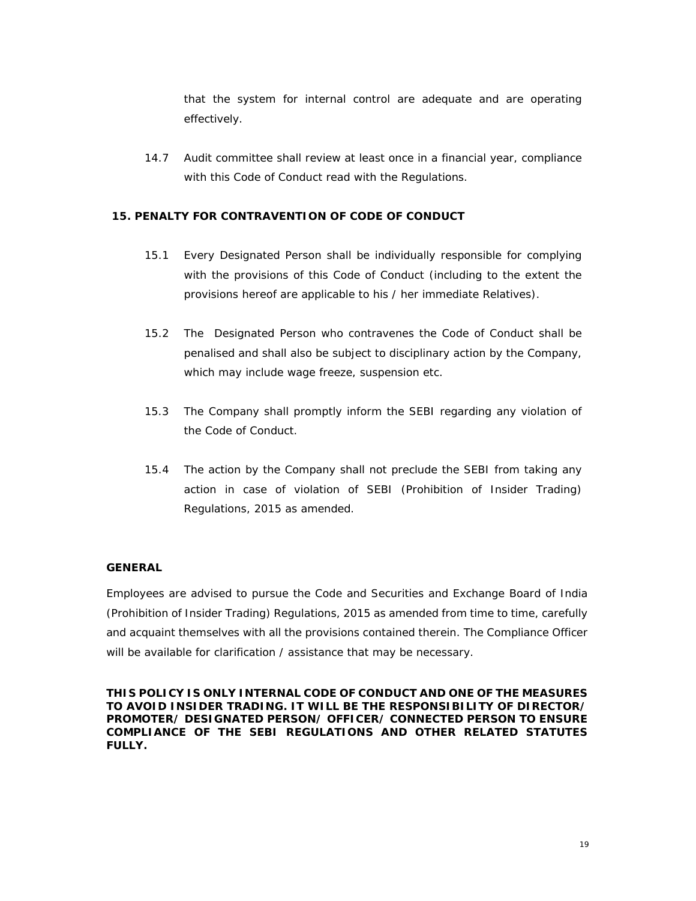that the system for internal control are adequate and are operating effectively.

14.7 Audit committee shall review at least once in a financial year, compliance with this Code of Conduct read with the Regulations.

### **15. PENALTY FOR CONTRAVENTION OF CODE OF CONDUCT**

- 15.1 Every Designated Person shall be individually responsible for complying with the provisions of this Code of Conduct (including to the extent the provisions hereof are applicable to his / her immediate Relatives).
- 15.2 The Designated Person who contravenes the Code of Conduct shall be penalised and shall also be subject to disciplinary action by the Company, which may include wage freeze, suspension etc.
- 15.3 The Company shall promptly inform the SEBI regarding any violation of the Code of Conduct.
- 15.4 The action by the Company shall not preclude the SEBI from taking any action in case of violation of SEBI (Prohibition of Insider Trading) Regulations, 2015 as amended.

#### **GENERAL**

Employees are advised to pursue the Code and Securities and Exchange Board of India (Prohibition of Insider Trading) Regulations, 2015 as amended from time to time, carefully and acquaint themselves with all the provisions contained therein. The Compliance Officer will be available for clarification / assistance that may be necessary.

**THIS POLICY IS ONLY INTERNAL CODE OF CONDUCT AND ONE OF THE MEASURES TO AVOID INSIDER TRADING. IT WILL BE THE RESPONSIBILITY OF DIRECTOR/ PROMOTER/ DESIGNATED PERSON/ OFFICER/ CONNECTED PERSON TO ENSURE COMPLIANCE OF THE SEBI REGULATIONS AND OTHER RELATED STATUTES FULLY.**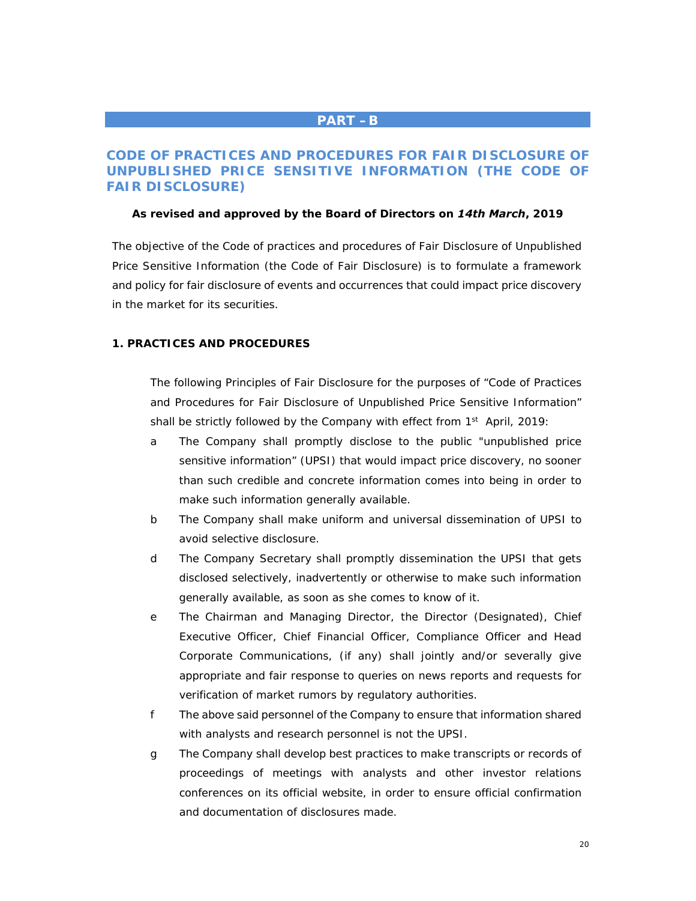## **PART –B**

## **CODE OF PRACTICES AND PROCEDURES FOR FAIR DISCLOSURE OF UNPUBLISHED PRICE SENSITIVE INFORMATION (THE CODE OF FAIR DISCLOSURE)**

#### *As revised and approved by the Board of Directors on 14th March, 2019*

The objective of the Code of practices and procedures of Fair Disclosure of Unpublished Price Sensitive Information (the Code of Fair Disclosure) is to formulate a framework and policy for fair disclosure of events and occurrences that could impact price discovery in the market for its securities.

### **1. PRACTICES AND PROCEDURES**

The following Principles of Fair Disclosure for the purposes of "Code of Practices and Procedures for Fair Disclosure of Unpublished Price Sensitive Information" shall be strictly followed by the Company with effect from 1<sup>st</sup> April, 2019:

- a The Company shall promptly disclose to the public "unpublished price sensitive information" (UPSI) that would impact price discovery, no sooner than such credible and concrete information comes into being in order to make such information generally available.
- b The Company shall make uniform and universal dissemination of UPSI to avoid selective disclosure.
- d The Company Secretary shall promptly dissemination the UPSI that gets disclosed selectively, inadvertently or otherwise to make such information generally available, as soon as she comes to know of it.
- e The Chairman and Managing Director, the Director (Designated), Chief Executive Officer, Chief Financial Officer, Compliance Officer and Head Corporate Communications, (if any) shall jointly and/or severally give appropriate and fair response to queries on news reports and requests for verification of market rumors by regulatory authorities.
- f The above said personnel of the Company to ensure that information shared with analysts and research personnel is not the UPSI.
- g The Company shall develop best practices to make transcripts or records of proceedings of meetings with analysts and other investor relations conferences on its official website, in order to ensure official confirmation and documentation of disclosures made.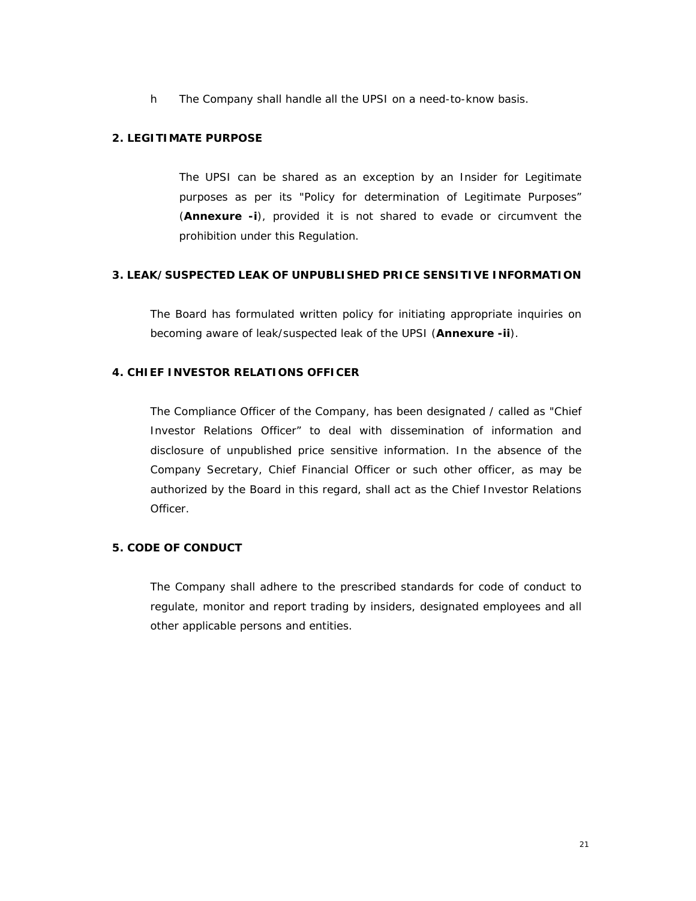h The Company shall handle all the UPSI on a need-to-know basis.

#### **2. LEGITIMATE PURPOSE**

The UPSI can be shared as an exception by an Insider for Legitimate purposes as per its "Policy for determination of Legitimate Purposes" (**Annexure -i**), provided it is not shared to evade or circumvent the prohibition under this Regulation.

#### **3. LEAK/SUSPECTED LEAK OF UNPUBLISHED PRICE SENSITIVE INFORMATION**

The Board has formulated written policy for initiating appropriate inquiries on becoming aware of leak/suspected leak of the UPSI (**Annexure -ii**).

## **4. CHIEF INVESTOR RELATIONS OFFICER**

The Compliance Officer of the Company, has been designated / called as "Chief Investor Relations Officer" to deal with dissemination of information and disclosure of unpublished price sensitive information. In the absence of the Company Secretary, Chief Financial Officer or such other officer, as may be authorized by the Board in this regard, shall act as the Chief Investor Relations Officer.

## **5. CODE OF CONDUCT**

The Company shall adhere to the prescribed standards for code of conduct to regulate, monitor and report trading by insiders, designated employees and all other applicable persons and entities.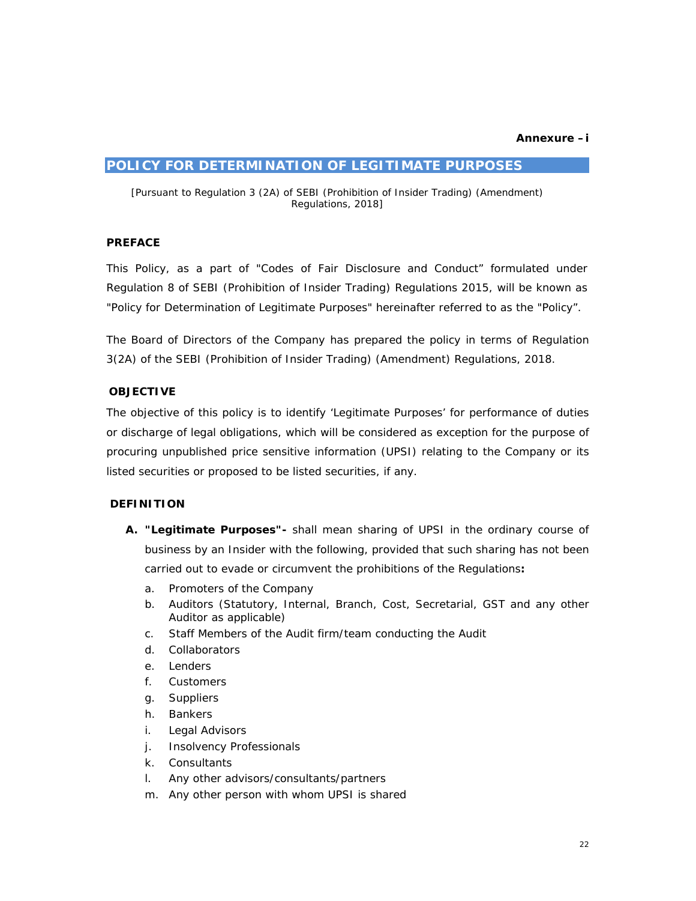#### **POLICY FOR DETERMINATION OF LEGITIMATE PURPOSES**

*[Pursuant to Regulation 3 (2A) of SEBI (Prohibition of Insider Trading) (Amendment) Regulations, 2018]* 

#### **PREFACE**

This Policy, as a part of "Codes of Fair Disclosure and Conduct" formulated under Regulation 8 of SEBI (Prohibition of Insider Trading) Regulations 2015, will be known as "Policy for Determination of Legitimate Purposes" hereinafter referred to as the "Policy".

The Board of Directors of the Company has prepared the policy in terms of Regulation 3(2A) of the SEBI (Prohibition of Insider Trading) (Amendment) Regulations, 2018.

#### **OBJECTIVE**

The objective of this policy is to identify 'Legitimate Purposes' for performance of duties or discharge of legal obligations, which will be considered as exception for the purpose of procuring unpublished price sensitive information (UPSI) relating to the Company or its listed securities or proposed to be listed securities, if any.

#### **DEFINITION**

- **A. "Legitimate Purposes"-** shall mean sharing of UPSI in the ordinary course of business by an Insider with the following, provided that such sharing has not been carried out to evade or circumvent the prohibitions of the Regulations**:**
	- a. Promoters of the Company
	- b. Auditors (Statutory, Internal, Branch, Cost, Secretarial, GST and any other Auditor as applicable)
	- c. Staff Members of the Audit firm/team conducting the Audit
	- d. Collaborators
	- e. Lenders
	- f. Customers
	- g. Suppliers
	- h. Bankers
	- i. Legal Advisors
	- j. Insolvency Professionals
	- k. Consultants
	- l. Any other advisors/consultants/partners
	- m. Any other person with whom UPSI is shared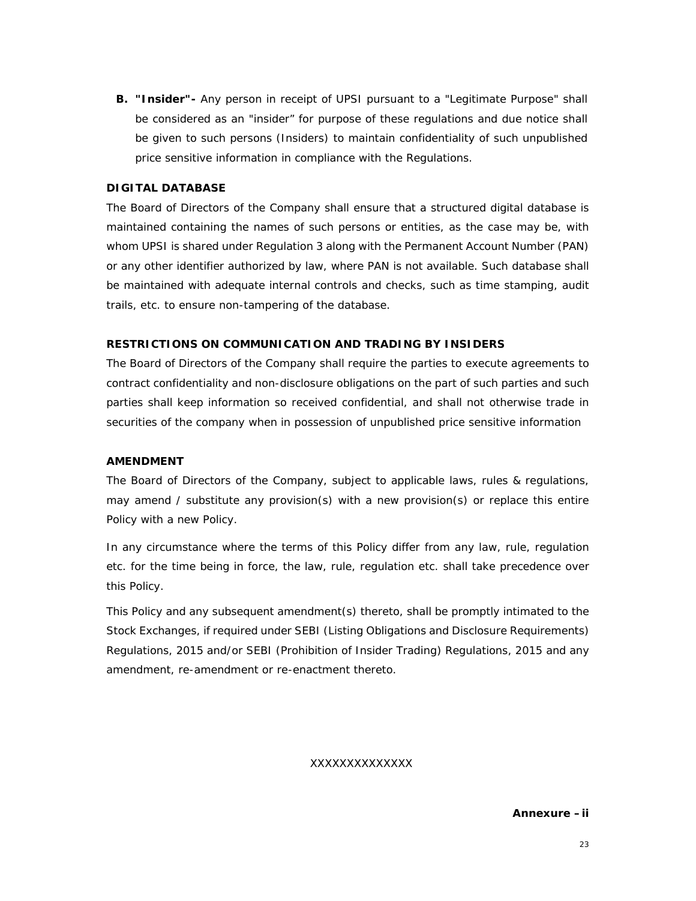**B. "Insider"-** Any person in receipt of UPSI pursuant to a "Legitimate Purpose" shall be considered as an "insider" for purpose of these regulations and due notice shall be given to such persons (Insiders) to maintain confidentiality of such unpublished price sensitive information in compliance with the Regulations.

### **DIGITAL DATABASE**

The Board of Directors of the Company shall ensure that a structured digital database is maintained containing the names of such persons or entities, as the case may be, with whom UPSI is shared under Regulation 3 along with the Permanent Account Number (PAN) or any other identifier authorized by law, where PAN is not available. Such database shall be maintained with adequate internal controls and checks, such as time stamping, audit trails, etc. to ensure non-tampering of the database.

## **RESTRICTIONS ON COMMUNICATION AND TRADING BY INSIDERS**

The Board of Directors of the Company shall require the parties to execute agreements to contract confidentiality and non-disclosure obligations on the part of such parties and such parties shall keep information so received confidential, and shall not otherwise trade in securities of the company when in possession of unpublished price sensitive information

#### **AMENDMENT**

The Board of Directors of the Company, subject to applicable laws, rules & regulations, may amend / substitute any provision(s) with a new provision(s) or replace this entire Policy with a new Policy.

In any circumstance where the terms of this Policy differ from any law, rule, regulation etc. for the time being in force, the law, rule, regulation etc. shall take precedence over this Policy.

This Policy and any subsequent amendment(s) thereto, shall be promptly intimated to the Stock Exchanges, if required under SEBI (Listing Obligations and Disclosure Requirements) Regulations, 2015 and/or SEBI (Prohibition of Insider Trading) Regulations, 2015 and any amendment, re-amendment or re-enactment thereto.

### XXXXXXXXXXXXXX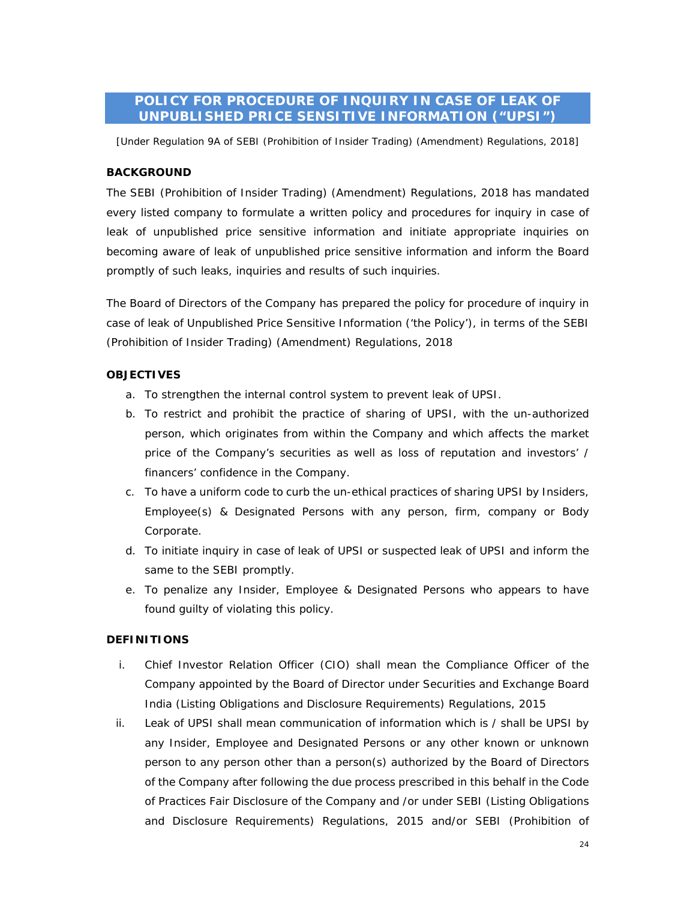## **POLICY FOR PROCEDURE OF INQUIRY IN CASE OF LEAK OF UNPUBLISHED PRICE SENSITIVE INFORMATION ("UPSI")**

*[Under Regulation 9A of SEBI (Prohibition of Insider Trading) (Amendment) Regulations, 2018]* 

## **BACKGROUND**

The SEBI (Prohibition of Insider Trading) (Amendment) Regulations, 2018 has mandated every listed company to formulate a written policy and procedures for inquiry in case of leak of unpublished price sensitive information and initiate appropriate inquiries on becoming aware of leak of unpublished price sensitive information and inform the Board promptly of such leaks, inquiries and results of such inquiries.

The Board of Directors of the Company has prepared the policy for procedure of inquiry in case of leak of Unpublished Price Sensitive Information ('the Policy'), in terms of the SEBI (Prohibition of Insider Trading) (Amendment) Regulations, 2018

## **OBJECTIVES**

- a. To strengthen the internal control system to prevent leak of UPSI.
- b. To restrict and prohibit the practice of sharing of UPSI, with the un-authorized person, which originates from within the Company and which affects the market price of the Company's securities as well as loss of reputation and investors' / financers' confidence in the Company.
- c. To have a uniform code to curb the un-ethical practices of sharing UPSI by Insiders, Employee(s) & Designated Persons with any person, firm, company or Body Corporate.
- d. To initiate inquiry in case of leak of UPSI or suspected leak of UPSI and inform the same to the SEBI promptly.
- e. To penalize any Insider, Employee & Designated Persons who appears to have found guilty of violating this policy.

## **DEFINITIONS**

- i. Chief Investor Relation Officer (CIO) shall mean the Compliance Officer of the Company appointed by the Board of Director under Securities and Exchange Board India (Listing Obligations and Disclosure Requirements) Regulations, 2015
- ii. Leak of UPSI shall mean communication of information which is / shall be UPSI by any Insider, Employee and Designated Persons or any other known or unknown person to any person other than a person(s) authorized by the Board of Directors of the Company after following the due process prescribed in this behalf in the Code of Practices Fair Disclosure of the Company and /or under SEBI (Listing Obligations and Disclosure Requirements) Regulations, 2015 and/or SEBI (Prohibition of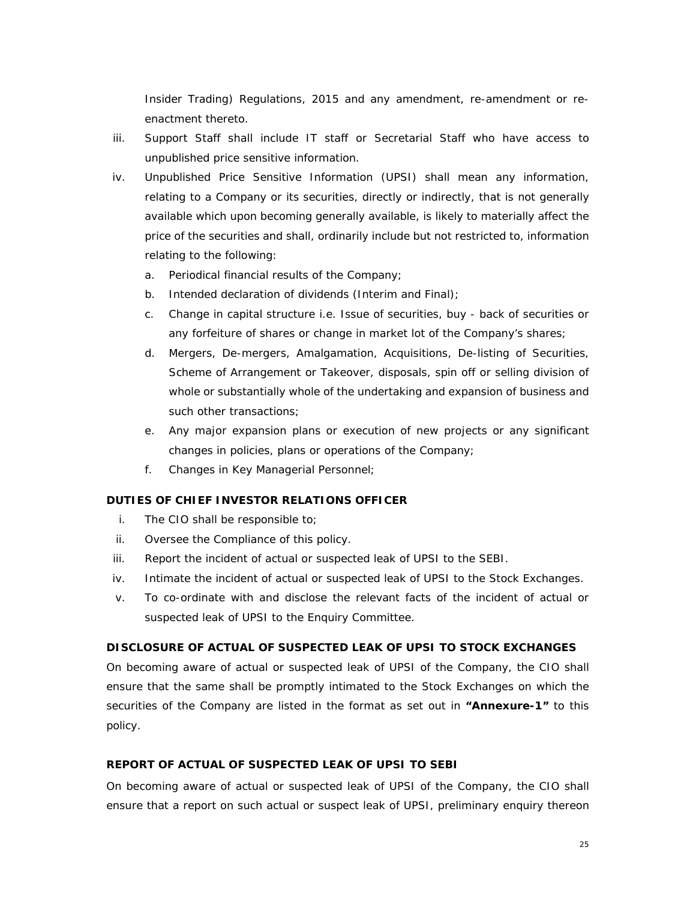Insider Trading) Regulations, 2015 and any amendment, re-amendment or reenactment thereto.

- iii. Support Staff shall include IT staff or Secretarial Staff who have access to unpublished price sensitive information.
- iv. Unpublished Price Sensitive Information (UPSI) shall mean any information, relating to a Company or its securities, directly or indirectly, that is not generally available which upon becoming generally available, is likely to materially affect the price of the securities and shall, ordinarily include but not restricted to, information relating to the following:
	- a. Periodical financial results of the Company;
	- b. Intended declaration of dividends (Interim and Final);
	- c. Change in capital structure i.e. Issue of securities, buy back of securities or any forfeiture of shares or change in market lot of the Company's shares;
	- d. Mergers, De-mergers, Amalgamation, Acquisitions, De-listing of Securities, Scheme of Arrangement or Takeover, disposals, spin off or selling division of whole or substantially whole of the undertaking and expansion of business and such other transactions:
	- e. Any major expansion plans or execution of new projects or any significant changes in policies, plans or operations of the Company;
	- f. Changes in Key Managerial Personnel;

### **DUTIES OF CHIEF INVESTOR RELATIONS OFFICER**

- i. The CIO shall be responsible to;
- ii. Oversee the Compliance of this policy.
- iii. Report the incident of actual or suspected leak of UPSI to the SEBI.
- iv. Intimate the incident of actual or suspected leak of UPSI to the Stock Exchanges.
- v. To co-ordinate with and disclose the relevant facts of the incident of actual or suspected leak of UPSI to the Enquiry Committee.

#### **DISCLOSURE OF ACTUAL OF SUSPECTED LEAK OF UPSI TO STOCK EXCHANGES**

On becoming aware of actual or suspected leak of UPSI of the Company, the CIO shall ensure that the same shall be promptly intimated to the Stock Exchanges on which the securities of the Company are listed in the format as set out in **"Annexure-1"** to this policy.

#### **REPORT OF ACTUAL OF SUSPECTED LEAK OF UPSI TO SEBI**

On becoming aware of actual or suspected leak of UPSI of the Company, the CIO shall ensure that a report on such actual or suspect leak of UPSI, preliminary enquiry thereon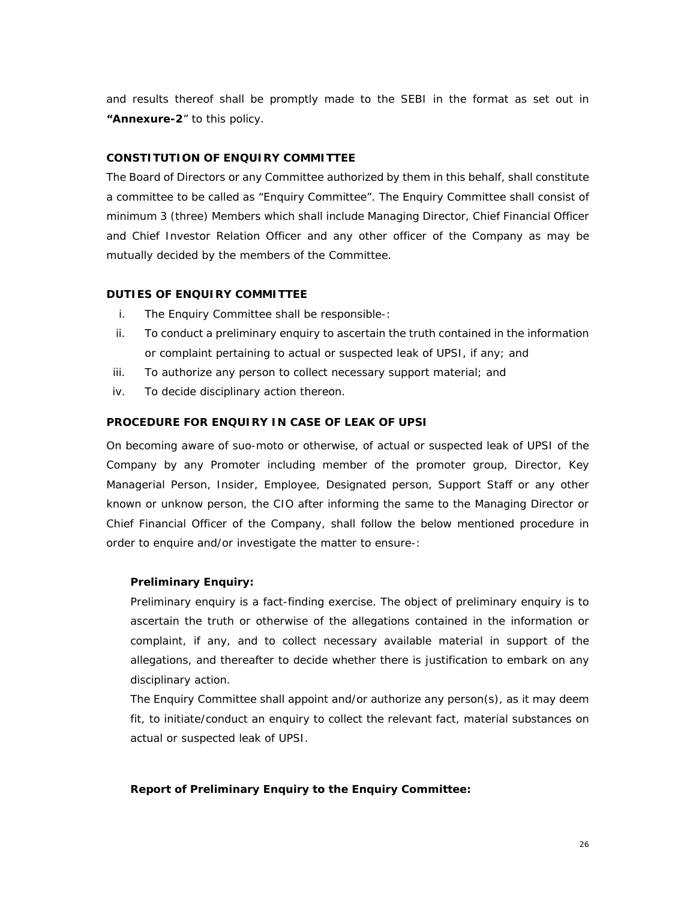and results thereof shall be promptly made to the SEBI in the format as set out in **"Annexure-2**" to this policy.

### **CONSTITUTION OF ENQUIRY COMMITTEE**

The Board of Directors or any Committee authorized by them in this behalf, shall constitute a committee to be called as "Enquiry Committee". The Enquiry Committee shall consist of minimum 3 (three) Members which shall include Managing Director, Chief Financial Officer and Chief Investor Relation Officer and any other officer of the Company as may be mutually decided by the members of the Committee.

#### **DUTIES OF ENQUIRY COMMITTEE**

- i. The Enquiry Committee shall be responsible-:
- ii. To conduct a preliminary enquiry to ascertain the truth contained in the information or complaint pertaining to actual or suspected leak of UPSI, if any; and
- iii. To authorize any person to collect necessary support material; and
- iv. To decide disciplinary action thereon.

#### **PROCEDURE FOR ENQUIRY IN CASE OF LEAK OF UPSI**

On becoming aware of *suo-moto* or otherwise, of actual or suspected leak of UPSI of the Company by any Promoter including member of the promoter group, Director, Key Managerial Person, Insider, Employee, Designated person, Support Staff or any other known or unknow person, the CIO after informing the same to the Managing Director or Chief Financial Officer of the Company, shall follow the below mentioned procedure in order to enquire and/or investigate the matter to ensure-:

#### **Preliminary Enquiry:**

Preliminary enquiry is a fact-finding exercise. The object of preliminary enquiry is to ascertain the truth or otherwise of the allegations contained in the information or complaint, if any, and to collect necessary available material in support of the allegations, and thereafter to decide whether there is justification to embark on any disciplinary action.

The Enquiry Committee shall appoint and/or authorize any person(s), as it may deem fit, to initiate/conduct an enquiry to collect the relevant fact, material substances on actual or suspected leak of UPSI.

#### **Report of Preliminary Enquiry to the Enquiry Committee:**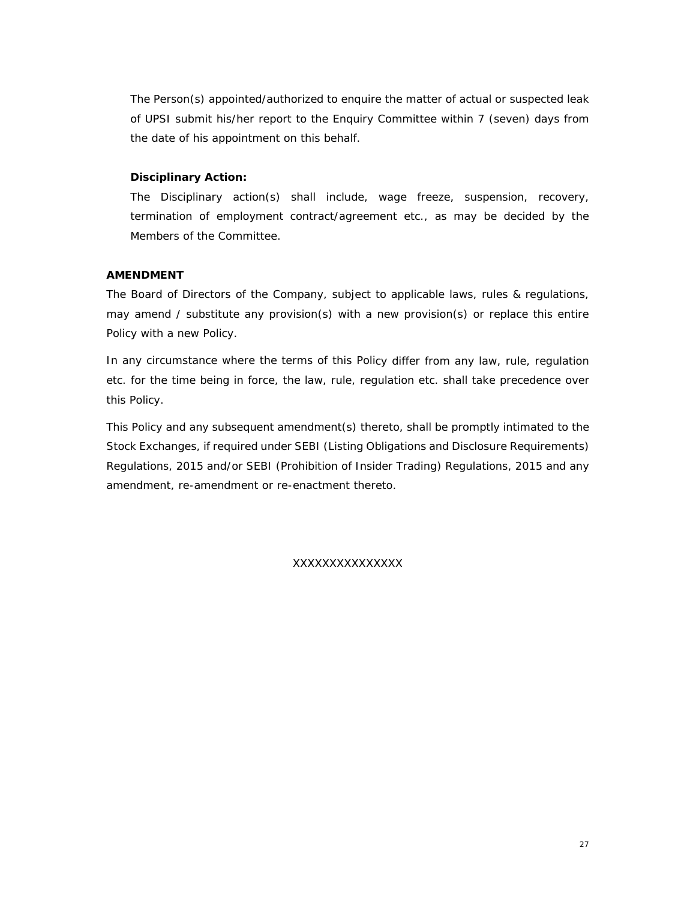The Person(s) appointed/authorized to enquire the matter of actual or suspected leak of UPSI submit his/her report to the Enquiry Committee within 7 (seven) days from the date of his appointment on this behalf.

### **Disciplinary Action:**

The Disciplinary action(s) shall include, wage freeze, suspension, recovery, termination of employment contract/agreement etc., as may be decided by the Members of the Committee.

## **AMENDMENT**

The Board of Directors of the Company, subject to applicable laws, rules & regulations, may amend / substitute any provision(s) with a new provision(s) or replace this entire Policy with a new Policy.

In any circumstance where the terms of this Policy differ from any law, rule, regulation etc. for the time being in force, the law, rule, regulation etc. shall take precedence over this Policy.

This Policy and any subsequent amendment(s) thereto, shall be promptly intimated to the Stock Exchanges, if required under SEBI (Listing Obligations and Disclosure Requirements) Regulations, 2015 and/or SEBI (Prohibition of Insider Trading) Regulations, 2015 and any amendment, re-amendment or re-enactment thereto.

XXXXXXXXXXXXXXX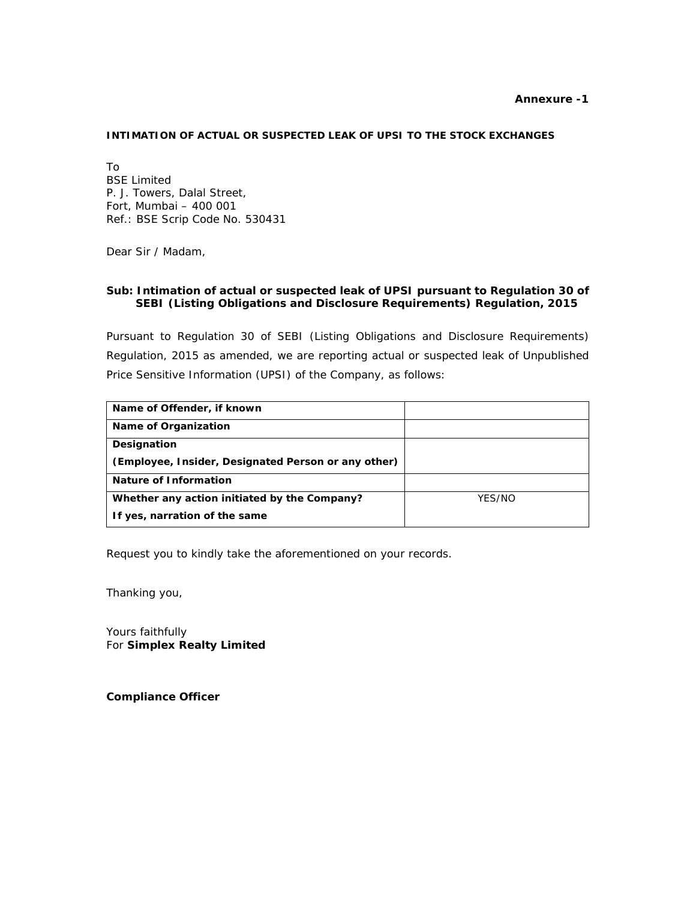#### **Annexure -1**

#### **INTIMATION OF ACTUAL OR SUSPECTED LEAK OF UPSI TO THE STOCK EXCHANGES**

To BSE Limited P. J. Towers, Dalal Street, Fort, Mumbai – 400 001 Ref.: BSE Scrip Code No. 530431

Dear Sir / Madam,

#### **Sub: Intimation of actual or suspected leak of UPSI pursuant to Regulation 30 of SEBI (Listing Obligations and Disclosure Requirements) Regulation, 2015**

Pursuant to Regulation 30 of SEBI (Listing Obligations and Disclosure Requirements) Regulation, 2015 as amended, we are reporting actual or suspected leak of Unpublished Price Sensitive Information (UPSI) of the Company, as follows:

| Name of Offender, if known                          |        |
|-----------------------------------------------------|--------|
| <b>Name of Organization</b>                         |        |
| Designation                                         |        |
| (Employee, Insider, Designated Person or any other) |        |
| Nature of Information                               |        |
| Whether any action initiated by the Company?        | YES/NO |
| If yes, narration of the same                       |        |

Request you to kindly take the aforementioned on your records.

Thanking you,

Yours faithfully For **Simplex Realty Limited** 

**Compliance Officer**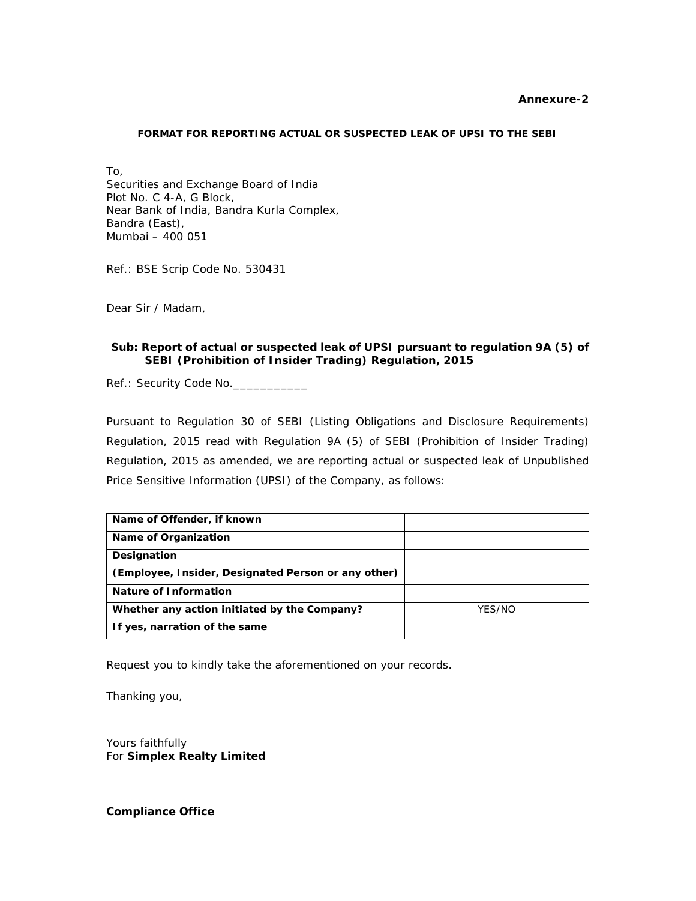#### **Annexure-2**

#### **FORMAT FOR REPORTING ACTUAL OR SUSPECTED LEAK OF UPSI TO THE SEBI**

To, Securities and Exchange Board of India Plot No. C 4-A, G Block, Near Bank of India, Bandra Kurla Complex, Bandra (East), Mumbai – 400 051

Ref.: BSE Scrip Code No. 530431

Dear Sir / Madam,

#### **Sub: Report of actual or suspected leak of UPSI pursuant to regulation 9A (5) of SEBI (Prohibition of Insider Trading) Regulation, 2015**

Ref.: Security Code No.

Pursuant to Regulation 30 of SEBI (Listing Obligations and Disclosure Requirements) Regulation, 2015 read with Regulation 9A (5) of SEBI (Prohibition of Insider Trading) Regulation, 2015 as amended, we are reporting actual or suspected leak of Unpublished Price Sensitive Information (UPSI) of the Company, as follows:

| Name of Offender, if known                          |        |
|-----------------------------------------------------|--------|
| Name of Organization                                |        |
| Designation                                         |        |
| (Employee, Insider, Designated Person or any other) |        |
| Nature of Information                               |        |
| Whether any action initiated by the Company?        | YES/NO |
| If yes, narration of the same                       |        |

Request you to kindly take the aforementioned on your records.

Thanking you,

Yours faithfully For **Simplex Realty Limited**

**Compliance Office**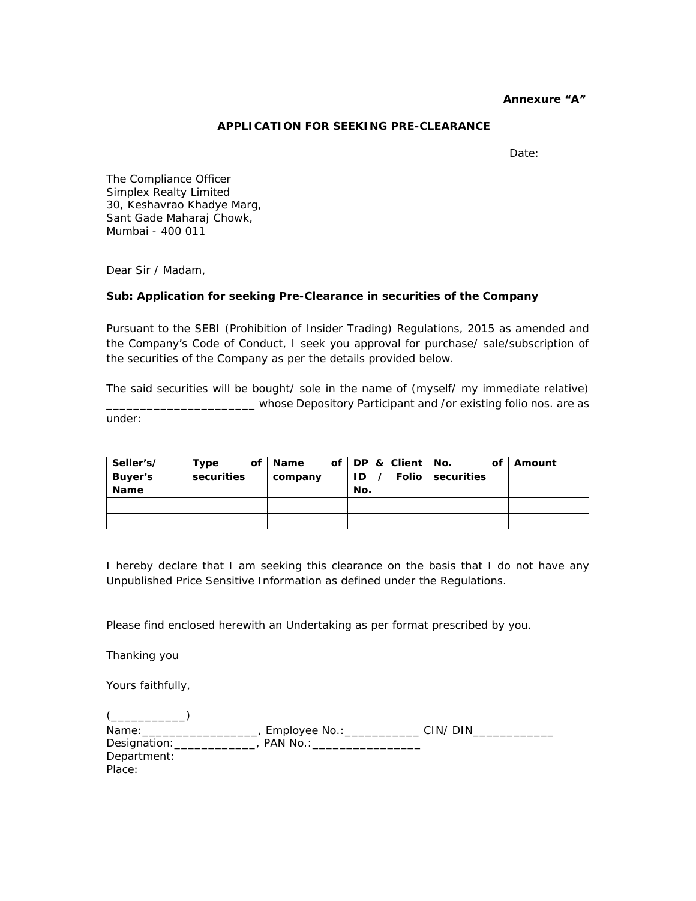#### **Annexure "A"**

### **APPLICATION FOR SEEKING PRE-CLEARANCE**

Date:

The Compliance Officer Simplex Realty Limited 30, Keshavrao Khadye Marg, Sant Gade Maharaj Chowk, Mumbai - 400 011

Dear Sir / Madam,

#### **Sub: Application for seeking Pre-Clearance in securities of the Company**

Pursuant to the SEBI (Prohibition of Insider Trading) Regulations, 2015 as amended and the Company's Code of Conduct, I seek you approval for purchase/ sale/subscription of the securities of the Company as per the details provided below.

The said securities will be bought/ sole in the name of (myself/ my immediate relative) \_\_\_\_\_\_\_\_\_\_\_\_\_\_\_\_\_\_\_\_\_\_ whose Depository Participant and /or existing folio nos. are as under:

| Seller's/   | Type       | of   Name |     | of   DP & Client   No. |                       | of   Amount |
|-------------|------------|-----------|-----|------------------------|-----------------------|-------------|
| Buyer's     | securities | company   |     |                        | ID / Folio securities |             |
| <b>Name</b> |            |           | No. |                        |                       |             |
|             |            |           |     |                        |                       |             |
|             |            |           |     |                        |                       |             |

I hereby declare that I am seeking this clearance on the basis that I do not have any Unpublished Price Sensitive Information as defined under the Regulations.

Please find enclosed herewith an Undertaking as per format prescribed by you.

Thanking you

Yours faithfully,

| Name:        | Employee No.: | CIN/DIN |
|--------------|---------------|---------|
| Designation: | PAN No.:      |         |
| Department:  |               |         |
| Place:       |               |         |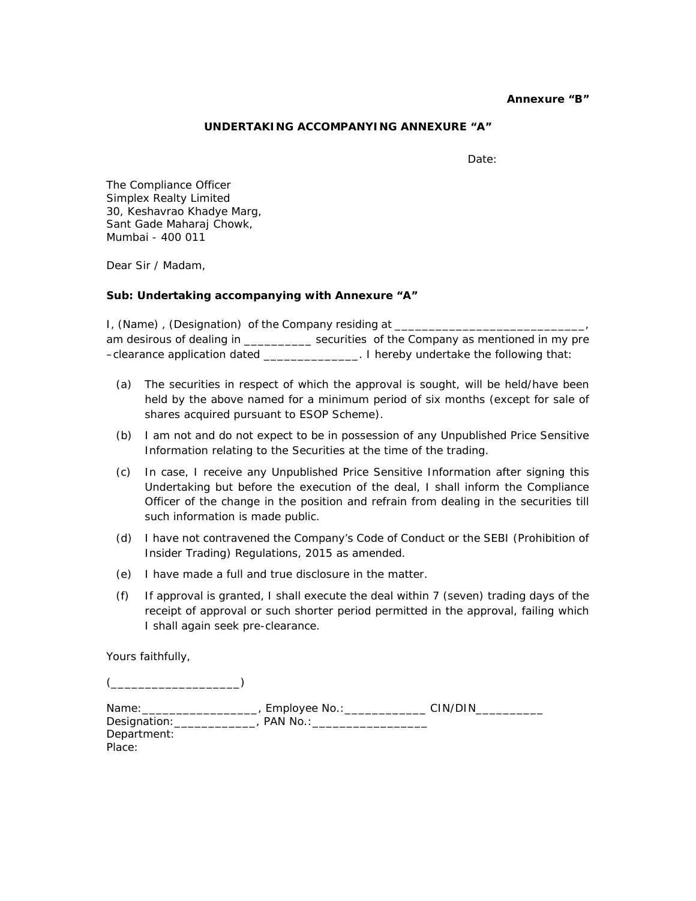#### **Annexure "B"**

#### **UNDERTAKING ACCOMPANYING ANNEXURE "A"**

Date:

The Compliance Officer Simplex Realty Limited 30, Keshavrao Khadye Marg, Sant Gade Maharaj Chowk, Mumbai - 400 011

Dear Sir / Madam,

#### **Sub: Undertaking accompanying with Annexure "A"**

I, (Name), (Designation) of the Company residing at \_\_\_\_\_\_ am desirous of dealing in \_\_\_\_\_\_\_\_\_\_\_\_ securities of the Company as mentioned in my pre –clearance application dated \_\_\_\_\_\_\_\_\_\_\_\_\_\_. I hereby undertake the following that:

- (a) The securities in respect of which the approval is sought, will be held/have been held by the above named for a minimum period of six months (except for sale of shares acquired pursuant to ESOP Scheme).
- (b) I am not and do not expect to be in possession of any Unpublished Price Sensitive Information relating to the Securities at the time of the trading.
- (c) In case, I receive any Unpublished Price Sensitive Information after signing this Undertaking but before the execution of the deal, I shall inform the Compliance Officer of the change in the position and refrain from dealing in the securities till such information is made public.
- (d) I have not contravened the Company's Code of Conduct or the SEBI (Prohibition of Insider Trading) Regulations, 2015 as amended.
- (e) I have made a full and true disclosure in the matter.
- (f) If approval is granted, I shall execute the deal within 7 (seven) trading days of the receipt of approval or such shorter period permitted in the approval, failing which I shall again seek pre-clearance.

Yours faithfully,

(\_\_\_\_\_\_\_\_\_\_\_\_\_\_\_\_\_\_\_)

| Name:        | Employee No.: | CIN/DIN |
|--------------|---------------|---------|
| Designation: | PAN No.:      |         |
| Department:  |               |         |
| Place:       |               |         |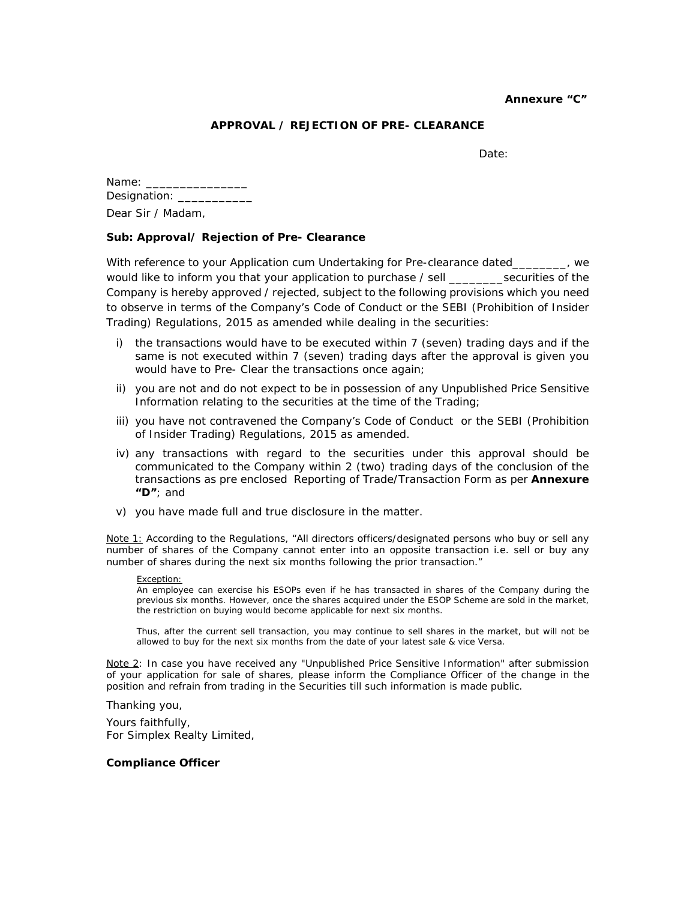#### **Annexure "C"**

## **APPROVAL / REJECTION OF PRE- CLEARANCE**

Date:

| Name: $\overline{\phantom{a}}$ |
|--------------------------------|
| Designation:                   |
| Dear Sir / Madam.              |

#### **Sub: Approval/ Rejection of Pre- Clearance**

With reference to your Application cum Undertaking for Pre-clearance dated\_\_\_\_\_\_\_, we would like to inform you that your application to purchase / sell \_\_\_\_\_\_\_\_\_securities of the Company is hereby approved / rejected, subject to the following provisions which you need to observe in terms of the Company's Code of Conduct or the SEBI (Prohibition of Insider Trading) Regulations, 2015 as amended while dealing in the securities:

- i) the transactions would have to be executed within 7 (seven) trading days and if the same is not executed within 7 (seven) trading days after the approval is given you would have to Pre- Clear the transactions once again;
- ii) you are not and do not expect to be in possession of any Unpublished Price Sensitive Information relating to the securities at the time of the Trading;
- iii) you have not contravened the Company's Code of Conduct or the SEBI (Prohibition of Insider Trading) Regulations, 2015 as amended.
- iv) any transactions with regard to the securities under this approval should be communicated to the Company within 2 (two) trading days of the conclusion of the transactions as pre enclosed Reporting of Trade/Transaction Form as per **Annexure "D"**; and
- v) you have made full and true disclosure in the matter.

Note 1: According to the Regulations, "All directors officers/designated persons who buy or sell any number of shares of the Company cannot enter into an opposite transaction i.e. sell or buy any number of shares during the next six months following the prior transaction."

#### *Exception:*

*An employee can exercise his ESOPs even if he has transacted in shares of the Company during the previous six months. However, once the shares acquired under the ESOP Scheme are sold in the market, the restriction on buying would become applicable for next six months.* 

*Thus, after the current sell transaction, you may continue to sell shares in the market, but will not be allowed to buy for the next six months from the date of your latest sale & vice Versa.* 

Note 2: In case you have received any "Unpublished Price Sensitive Information" after submission of your application for sale of shares, please inform the Compliance Officer of the change in the position and refrain from trading in the Securities till such information is made public.

Thanking you,

Yours faithfully, For Simplex Realty Limited,

#### **Compliance Officer**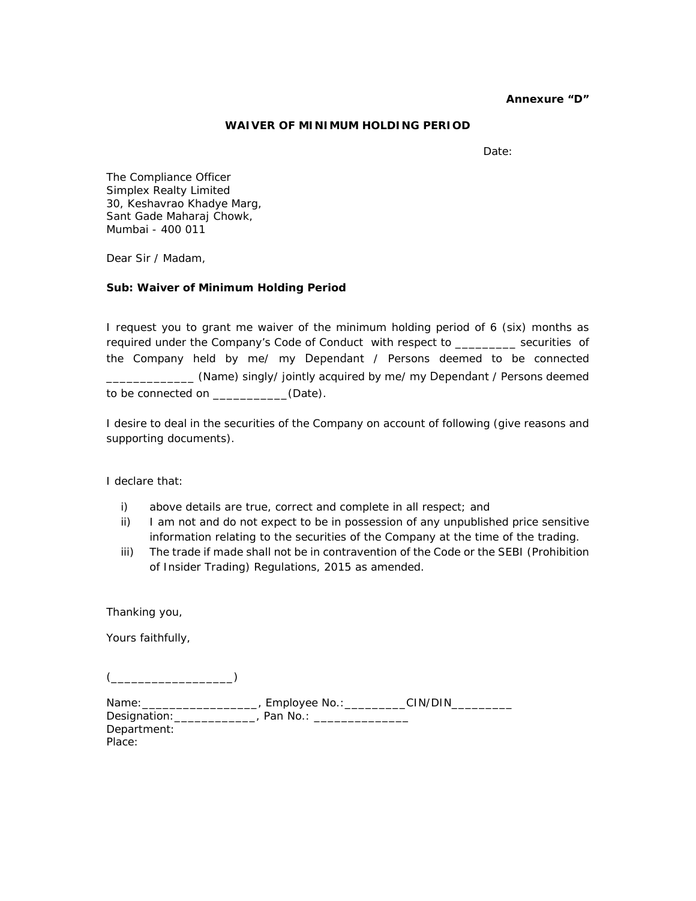#### **Annexure "D"**

#### **WAIVER OF MINIMUM HOLDING PERIOD**

Date:

The Compliance Officer Simplex Realty Limited 30, Keshavrao Khadye Marg, Sant Gade Maharaj Chowk, Mumbai - 400 011

Dear Sir / Madam,

#### **Sub: Waiver of Minimum Holding Period**

I request you to grant me waiver of the minimum holding period of 6 (six) months as required under the Company's Code of Conduct with respect to \_\_\_\_\_\_\_\_\_ securities of the Company held by me/ my Dependant / Persons deemed to be connected \_\_\_\_\_\_\_\_\_\_\_\_\_ (Name) singly/ jointly acquired by me/ my Dependant / Persons deemed to be connected on \_\_\_\_\_\_\_\_\_\_\_(Date).

I desire to deal in the securities of the Company on account of following (give reasons and supporting documents).

I declare that:

- i) above details are true, correct and complete in all respect; and
- ii) I am not and do not expect to be in possession of any unpublished price sensitive information relating to the securities of the Company at the time of the trading.
- iii) The trade if made shall not be in contravention of the Code or the SEBI (Prohibition of Insider Trading) Regulations, 2015 as amended.

Thanking you,

Yours faithfully,

 $($ 

| Name:        | Employee No.: | CIN/DIN |
|--------------|---------------|---------|
| Designation: | Pan No.:      |         |
| Department:  |               |         |
| Place:       |               |         |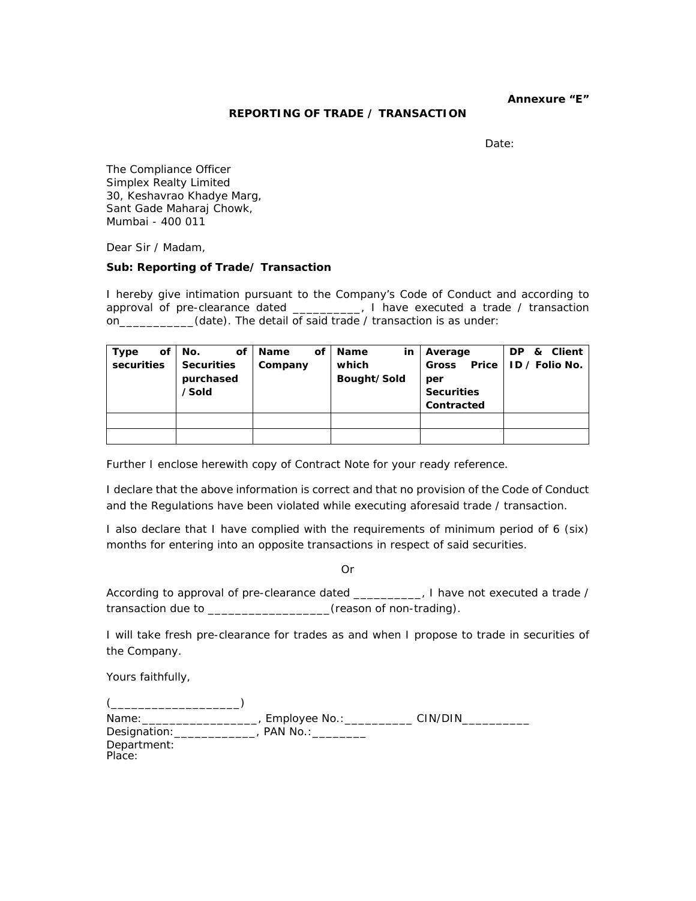**Annexure "E"** 

#### **REPORTING OF TRADE / TRANSACTION**

Date:

The Compliance Officer Simplex Realty Limited 30, Keshavrao Khadye Marg, Sant Gade Maharaj Chowk, Mumbai - 400 011

Dear Sir / Madam,

#### **Sub: Reporting of Trade/ Transaction**

I hereby give intimation pursuant to the Company's Code of Conduct and according to approval of pre-clearance dated \_\_\_\_\_\_\_\_\_\_, I have executed a trade / transaction on\_\_\_\_\_\_\_\_\_\_\_\_(date). The detail of said trade / transaction is as under:

| Type       | οf | No.<br>οf          | <b>Name</b> | οf | <b>Name</b><br>in | Average                  | & Client<br>DP.        |
|------------|----|--------------------|-------------|----|-------------------|--------------------------|------------------------|
| securities |    | <b>Securities</b>  | Company     |    | which             | <b>Gross</b>             | Price   ID / Folio No. |
|            |    | purchased<br>/Sold |             |    | Bought/Sold       | per<br><b>Securities</b> |                        |
|            |    |                    |             |    |                   | Contracted               |                        |
|            |    |                    |             |    |                   |                          |                        |
|            |    |                    |             |    |                   |                          |                        |

Further I enclose herewith copy of Contract Note for your ready reference.

I declare that the above information is correct and that no provision of the Code of Conduct and the Regulations have been violated while executing aforesaid trade / transaction.

I also declare that I have complied with the requirements of minimum period of 6 (six) months for entering into an opposite transactions in respect of said securities.

Or

According to approval of pre-clearance dated \_\_\_\_\_\_\_\_\_\_, I have not executed a trade / transaction due to \_\_\_\_\_\_\_\_\_\_\_\_\_\_\_\_\_\_(reason of non-trading).

I will take fresh pre-clearance for trades as and when I propose to trade in securities of the Company.

Yours faithfully,

| Name:                 | Employee No.: | CIN/DIN |
|-----------------------|---------------|---------|
| Designation:          | PAN No.:      |         |
| Department:<br>Place: |               |         |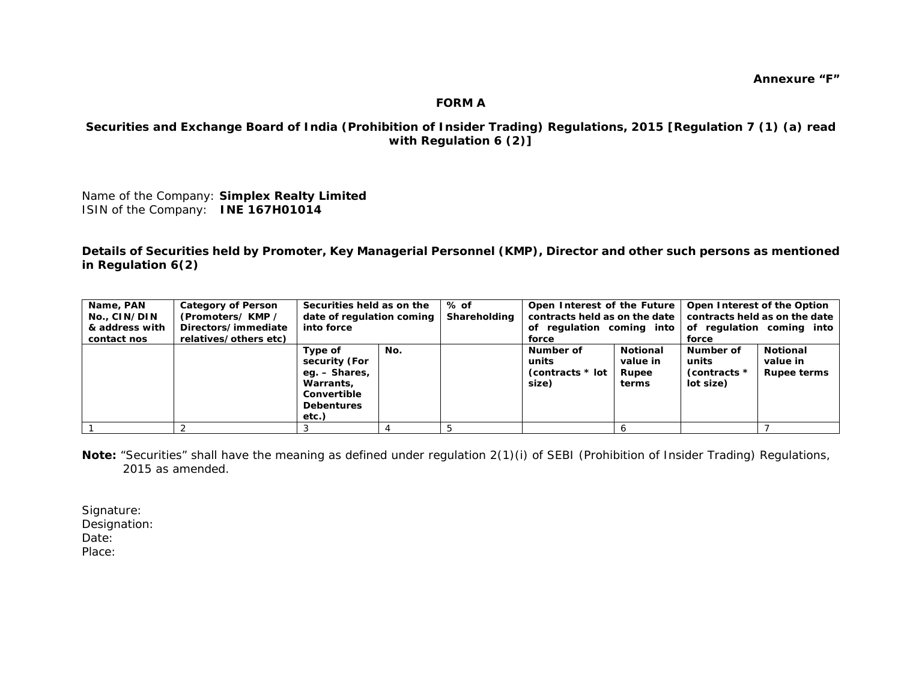### **FORM A**

## **Securities and Exchange Board of India (Prohibition of Insider Trading) Regulations, 2015 [Regulation 7 (1) (a) read with Regulation 6 (2)]**

Name of the Company: **Simplex Realty Limited**  ISIN of the Company: **INE 167H01014**

**Details of Securities held by Promoter, Key Managerial Personnel (KMP), Director and other such persons as mentioned in Regulation 6(2)** 

| Name, PAN<br>No., CIN/DIN<br>& address with<br>contact nos | <b>Category of Person</b><br>(Promoters/KMP /<br>Directors/immediate<br>relatives/others etc) | Securities held as on the<br>date of regulation coming<br>into force                                |     | % of<br>Shareholding | Open Interest of the Future<br>contracts held as on the date<br>of regulation coming into<br>force |                                        | Open Interest of the Option<br>contracts held as on the date<br>of regulation coming into<br>force |                                                   |  |
|------------------------------------------------------------|-----------------------------------------------------------------------------------------------|-----------------------------------------------------------------------------------------------------|-----|----------------------|----------------------------------------------------------------------------------------------------|----------------------------------------|----------------------------------------------------------------------------------------------------|---------------------------------------------------|--|
|                                                            |                                                                                               | Type of<br>security (For<br>eg. – Shares,<br>Warrants.<br>Convertible<br><b>Debentures</b><br>etc.) | No. |                      | Number of<br>units<br>(contracts * lot<br>size)                                                    | Notional<br>value in<br>Rupee<br>terms | Number of<br>units<br>(contracts *<br>lot size)                                                    | <b>Notional</b><br>value in<br><b>Rupee terms</b> |  |
|                                                            |                                                                                               |                                                                                                     |     |                      |                                                                                                    |                                        |                                                                                                    |                                                   |  |

*Note: "Securities" shall have the meaning as defined under regulation 2(1)(i) of SEBI (Prohibition of Insider Trading) Regulations, 2015 as amended.* 

Signature: Designation: Date: Place: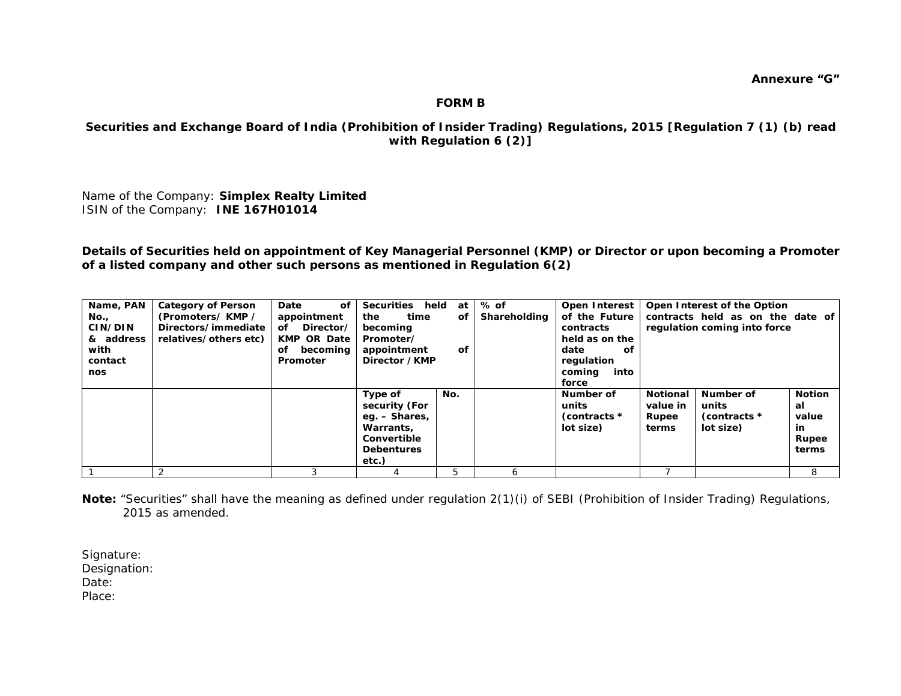## **FORM B**

## **Securities and Exchange Board of India (Prohibition of Insider Trading) Regulations, 2015 [Regulation 7 (1) (b) read with Regulation 6 (2)]**

Name of the Company: **Simplex Realty Limited**  ISIN of the Company: **INE 167H01014**

**Details of Securities held on appointment of Key Managerial Personnel (KMP) or Director or upon becoming a Promoter of a listed company and other such persons as mentioned in Regulation 6(2)** 

| Name, PAN<br>No.,<br>CIN/DIN<br>& address<br>with<br>contact<br>nos | <b>Category of Person</b><br>(Promoters/KMP /<br>Directors/immediate<br>relatives/others etc) | Date<br>οf<br>appointment<br>Director/<br>of<br><b>KMP OR Date</b><br>becoming<br>оf<br>Promoter | Securities held<br>at<br>the<br>time<br>οf<br>becoming<br>Promoter/<br>appointment<br>οf<br>Director / KMP |     | $%$ of<br>Shareholding | Open Interest<br>of the Future<br>contracts<br>held as on the<br>date<br>оf<br>regulation<br>coming<br>into<br>force |                                               | Open Interest of the Option<br>contracts held as on the date of<br>regulation coming into force |                                                       |  |
|---------------------------------------------------------------------|-----------------------------------------------------------------------------------------------|--------------------------------------------------------------------------------------------------|------------------------------------------------------------------------------------------------------------|-----|------------------------|----------------------------------------------------------------------------------------------------------------------|-----------------------------------------------|-------------------------------------------------------------------------------------------------|-------------------------------------------------------|--|
|                                                                     |                                                                                               |                                                                                                  | Type of<br>security (For<br>eg. – Shares,<br>Warrants,<br>Convertible<br><b>Debentures</b><br>etc.)        | No. |                        | Number of<br>units<br>(contracts *<br>lot size)                                                                      | <b>Notional</b><br>value in<br>Rupee<br>terms | Number of<br>units<br>(contracts *<br>lot size)                                                 | <b>Notion</b><br>al<br>value<br>in.<br>Rupee<br>terms |  |
|                                                                     |                                                                                               |                                                                                                  |                                                                                                            |     | h                      |                                                                                                                      |                                               |                                                                                                 | 8                                                     |  |

*Note: "Securities" shall have the meaning as defined under regulation 2(1)(i) of SEBI (Prohibition of Insider Trading) Regulations, 2015 as amended.* 

Signature: Designation: Date: Place: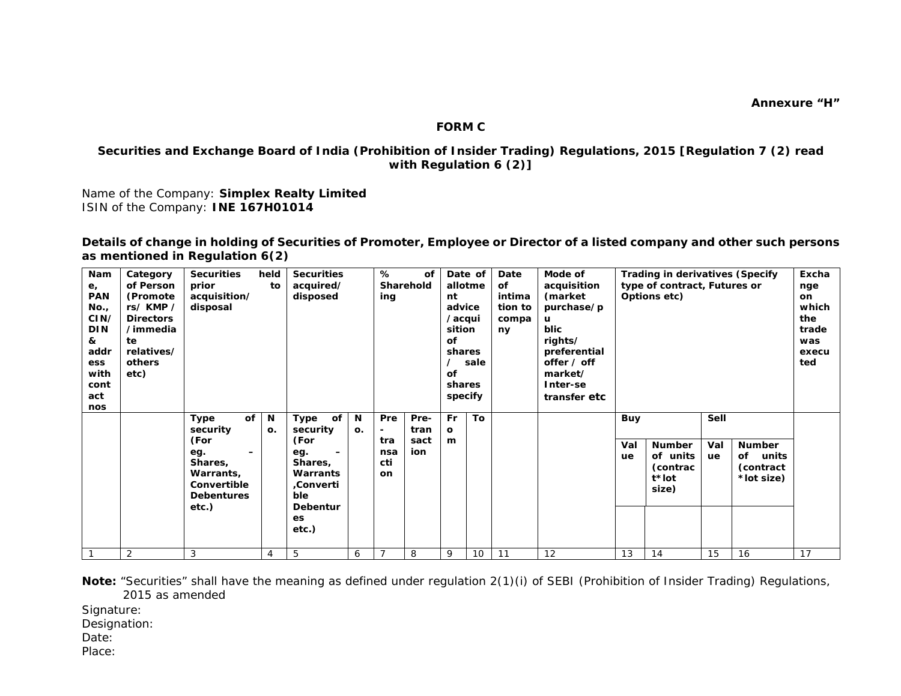#### **FORM C**

## **Securities and Exchange Board of India (Prohibition of Insider Trading) Regulations, 2015 [Regulation 7 (2) read with Regulation 6 (2)]**

Name of the Company: **Simplex Realty Limited** ISIN of the Company: **INE 167H01014**

**Details of change in holding of Securities of Promoter, Employee or Director of a listed company and other such persons as mentioned in Regulation 6(2)** 

| Nam<br>$e_{i}$<br><b>PAN</b><br>No.,<br>CIN/<br><b>DIN</b><br>&<br>addr<br><b>ess</b><br>with<br>cont<br>act<br>nos | Category<br>of Person<br>(Promote<br>rs/KMP/<br><b>Directors</b><br>/immedia<br>te<br>relatives/<br>others<br>etc) | <b>Securities</b><br>prior<br>acquisition/<br>disposal                                                                                 | held<br>to     | <b>Securities</b><br>acquired/<br>disposed                                                                  |         | %<br>ing                               | of<br>Sharehold             | nt<br>advice<br>/acqui<br>sition<br>οf<br>shares<br>of<br>shares<br>specify | Date of<br>allotme<br>sale | Date<br>οf<br>intima<br>tion to<br>compa<br>ny | Mode of<br>acquisition<br>(market<br>purchase/p<br>u<br><b>blic</b><br>rights/<br>preferential<br>offer / off<br>market/<br>Inter-se<br>transfer etc | <b>Trading in derivatives (Specify</b><br>type of contract, Futures or<br>Options etc) |                                                         | Excha<br>nge<br>on<br>which<br>the<br>trade<br>was<br>execu<br>ted |                                                         |    |
|---------------------------------------------------------------------------------------------------------------------|--------------------------------------------------------------------------------------------------------------------|----------------------------------------------------------------------------------------------------------------------------------------|----------------|-------------------------------------------------------------------------------------------------------------|---------|----------------------------------------|-----------------------------|-----------------------------------------------------------------------------|----------------------------|------------------------------------------------|------------------------------------------------------------------------------------------------------------------------------------------------------|----------------------------------------------------------------------------------------|---------------------------------------------------------|--------------------------------------------------------------------|---------------------------------------------------------|----|
|                                                                                                                     |                                                                                                                    | of<br>Type<br>security<br>(For<br>eg.<br>$\overline{\phantom{0}}$<br>Shares,<br>Warrants,<br>Convertible<br><b>Debentures</b><br>etc.) | N<br>O.        | of<br>Type<br>security<br>(For<br>eg.<br>Shares,<br>Warrants<br>,Converti<br>ble<br>Debentur<br>es<br>etc.) | N<br>О. | <b>Pre</b><br>tra<br>nsa<br>cti<br>on. | Pre-<br>tran<br>sact<br>ion | <b>Fr</b><br>$\mathbf{o}$<br>m                                              | To                         |                                                |                                                                                                                                                      | <b>Buy</b><br>Val<br>ue                                                                | <b>Number</b><br>of units<br>(contrac<br>t*lot<br>size) | Sell<br>Val<br>ue                                                  | <b>Number</b><br>οf<br>units<br>(contract<br>*lot size) |    |
|                                                                                                                     | $\overline{2}$                                                                                                     | 3                                                                                                                                      | $\overline{4}$ | 5                                                                                                           | 6       |                                        | 8                           | 9                                                                           | 10                         | 11                                             | 12                                                                                                                                                   | 13                                                                                     | 14                                                      | 15                                                                 | 16                                                      | 17 |

*Note: "Securities" shall have the meaning as defined under regulation 2(1)(i) of SEBI (Prohibition of Insider Trading) Regulations, 2015 as amended* 

Signature:

Designation:

Date:

Place: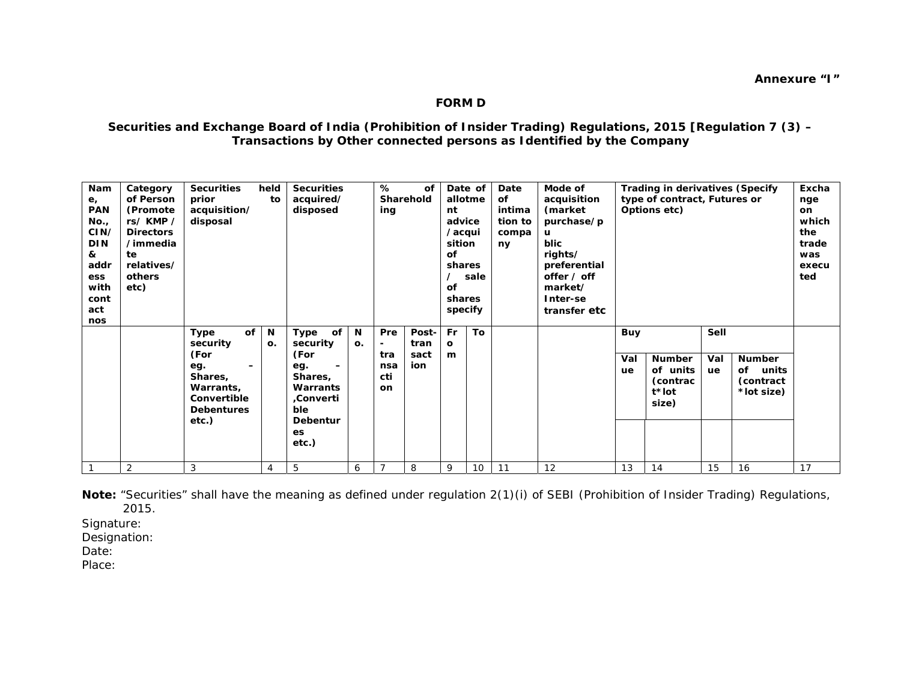## **FORM D**

## **Securities and Exchange Board of India (Prohibition of Insider Trading) Regulations, 2015 [Regulation 7 (3) – Transactions by Other connected persons as Identified by the Company**

*Note: "Securities" shall have the meaning as defined under regulation 2(1)(i) of SEBI (Prohibition of Insider Trading) Regulations, 2015.* 

Signature:

Designation:

Date:

Place: